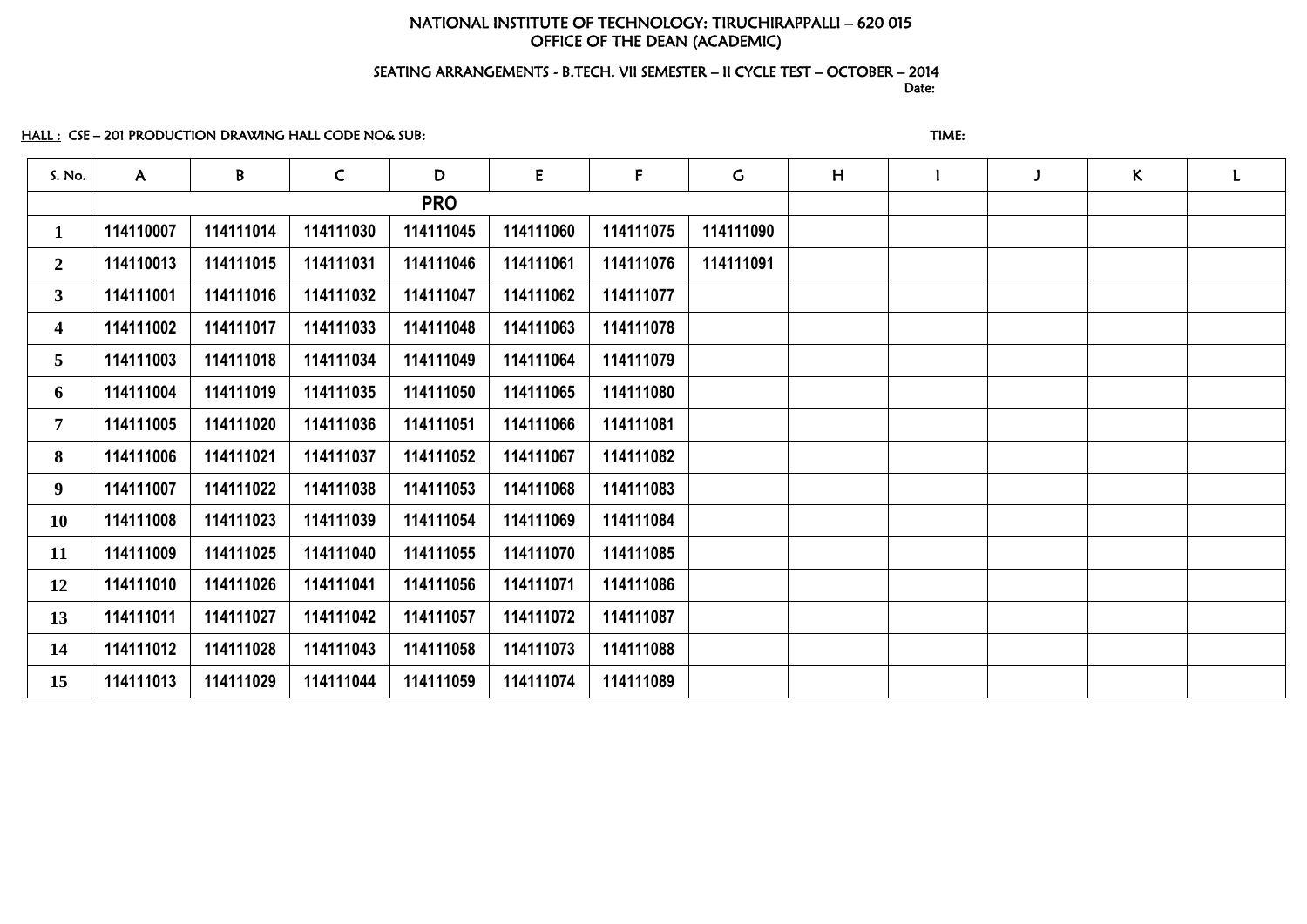# NATIONAL INSTITUTE OF TECHNOLOGY: TIRUCHIRAPPALLI – 620 015 OFFICE OF THE DEAN (ACADEMIC)

#### SEATING ARRANGEMENTS - B.TECH. VII SEMESTER – II CYCLE TEST – OCTOBER – 2014 and the contract of the contract of the contract of the contract of the contract of the contract of the contract of the contract of the contract of the contract of the contract of the contract of the contract of the contra

## HALL : CSE – 201 PRODUCTION DRAWING HALL CODE NO& SUB: THE STATE STATE STATE STATE:

| S. No.                  | $\mathsf{A}$ | B         | $\mathsf{C}$ | D          | E         | $\mathsf F$ | $\mathsf{G}$ | H |  | $\mathsf{K}$ | L |
|-------------------------|--------------|-----------|--------------|------------|-----------|-------------|--------------|---|--|--------------|---|
|                         |              |           |              | <b>PRO</b> |           |             |              |   |  |              |   |
| $\mathbf 1$             | 114110007    | 114111014 | 114111030    | 114111045  | 114111060 | 114111075   | 114111090    |   |  |              |   |
| $\mathbf{2}$            | 114110013    | 114111015 | 114111031    | 114111046  | 114111061 | 114111076   | 114111091    |   |  |              |   |
| 3 <sup>1</sup>          | 114111001    | 114111016 | 114111032    | 114111047  | 114111062 | 114111077   |              |   |  |              |   |
| $\overline{\mathbf{4}}$ | 114111002    | 114111017 | 114111033    | 114111048  | 114111063 | 114111078   |              |   |  |              |   |
| 5                       | 114111003    | 114111018 | 114111034    | 114111049  | 114111064 | 114111079   |              |   |  |              |   |
| 6                       | 114111004    | 114111019 | 114111035    | 114111050  | 114111065 | 114111080   |              |   |  |              |   |
| $\mathbf 7$             | 114111005    | 114111020 | 114111036    | 114111051  | 114111066 | 114111081   |              |   |  |              |   |
| 8                       | 114111006    | 114111021 | 114111037    | 114111052  | 114111067 | 114111082   |              |   |  |              |   |
| 9 <sup>1</sup>          | 114111007    | 114111022 | 114111038    | 114111053  | 114111068 | 114111083   |              |   |  |              |   |
| 10                      | 114111008    | 114111023 | 114111039    | 114111054  | 114111069 | 114111084   |              |   |  |              |   |
| 11                      | 114111009    | 114111025 | 114111040    | 114111055  | 114111070 | 114111085   |              |   |  |              |   |
| 12                      | 114111010    | 114111026 | 114111041    | 114111056  | 114111071 | 114111086   |              |   |  |              |   |
| 13                      | 114111011    | 114111027 | 114111042    | 114111057  | 114111072 | 114111087   |              |   |  |              |   |
| 14                      | 114111012    | 114111028 | 114111043    | 114111058  | 114111073 | 114111088   |              |   |  |              |   |
| 15                      | 114111013    | 114111029 | 114111044    | 114111059  | 114111074 | 114111089   |              |   |  |              |   |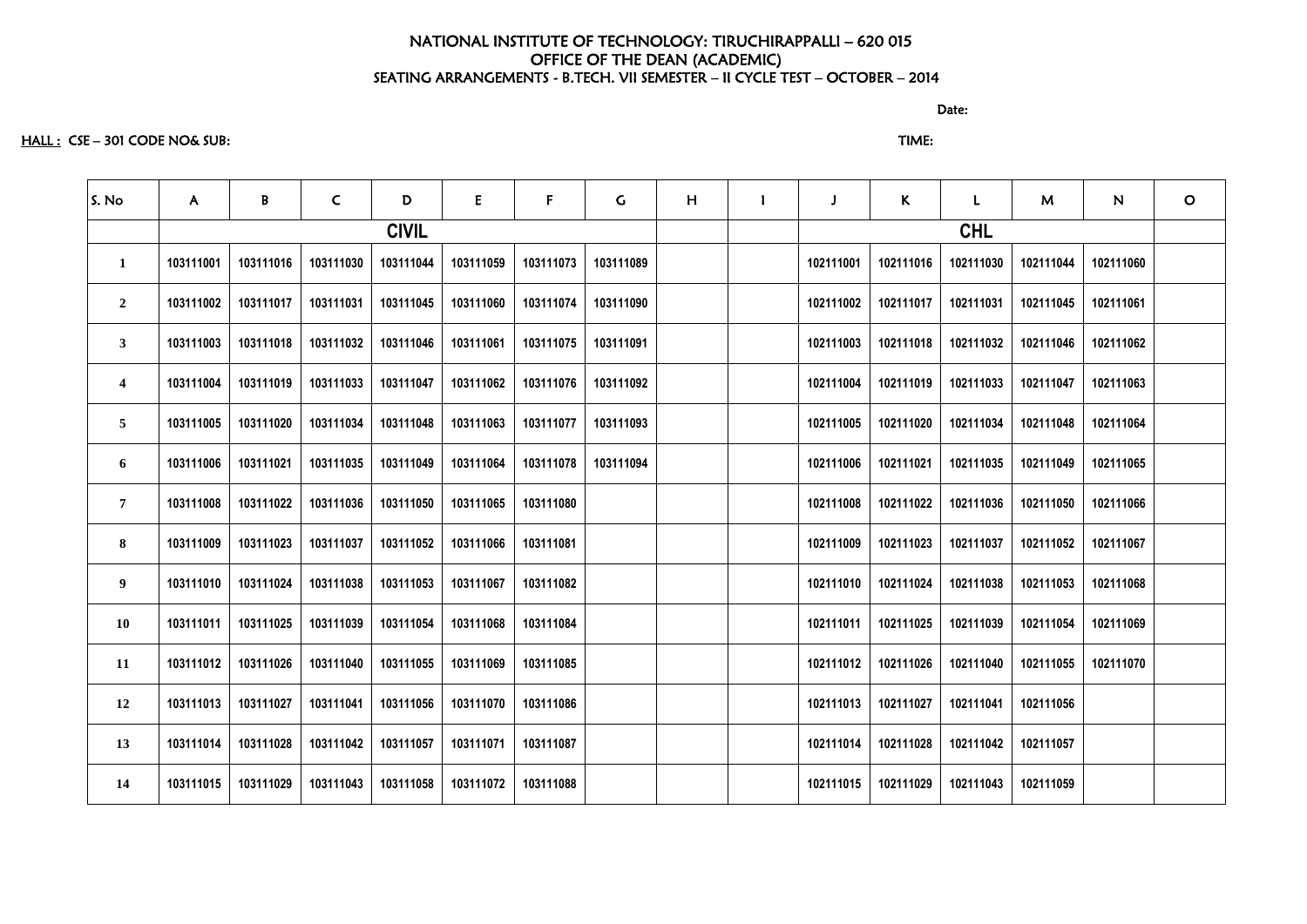#### HALL : CSE – 301 CODE NO& SUB: TIME:

| S. No                   | $\mathsf{A}$ | B         | $\mathsf{C}$ | D            | E         | F         | $\mathsf{G}$ | H | $\mathbf{I}$ |           | $\mathsf{K}$ | L          | M         | N         | $\circ$ |
|-------------------------|--------------|-----------|--------------|--------------|-----------|-----------|--------------|---|--------------|-----------|--------------|------------|-----------|-----------|---------|
|                         |              |           |              | <b>CIVIL</b> |           |           |              |   |              |           |              | <b>CHL</b> |           |           |         |
| $\mathbf{1}$            | 103111001    | 103111016 | 103111030    | 103111044    | 103111059 | 103111073 | 103111089    |   |              | 102111001 | 102111016    | 102111030  | 102111044 | 102111060 |         |
| $\overline{2}$          | 103111002    | 103111017 | 103111031    | 103111045    | 103111060 | 103111074 | 103111090    |   |              | 102111002 | 102111017    | 102111031  | 102111045 | 102111061 |         |
| $\mathbf{3}$            | 103111003    | 103111018 | 103111032    | 103111046    | 103111061 | 103111075 | 103111091    |   |              | 102111003 | 102111018    | 102111032  | 102111046 | 102111062 |         |
| $\overline{\mathbf{4}}$ | 103111004    | 103111019 | 103111033    | 103111047    | 103111062 | 103111076 | 103111092    |   |              | 102111004 | 102111019    | 102111033  | 102111047 | 102111063 |         |
| 5 <sup>5</sup>          | 103111005    | 103111020 | 103111034    | 103111048    | 103111063 | 103111077 | 103111093    |   |              | 102111005 | 102111020    | 102111034  | 102111048 | 102111064 |         |
| 6                       | 103111006    | 103111021 | 103111035    | 103111049    | 103111064 | 103111078 | 103111094    |   |              | 102111006 | 102111021    | 102111035  | 102111049 | 102111065 |         |
| $\overline{7}$          | 103111008    | 103111022 | 103111036    | 103111050    | 103111065 | 103111080 |              |   |              | 102111008 | 102111022    | 102111036  | 102111050 | 102111066 |         |
| 8                       | 103111009    | 103111023 | 103111037    | 103111052    | 103111066 | 103111081 |              |   |              | 102111009 | 102111023    | 102111037  | 102111052 | 102111067 |         |
| 9                       | 103111010    | 103111024 | 103111038    | 103111053    | 103111067 | 103111082 |              |   |              | 102111010 | 102111024    | 102111038  | 102111053 | 102111068 |         |
| <b>10</b>               | 103111011    | 103111025 | 103111039    | 103111054    | 103111068 | 103111084 |              |   |              | 102111011 | 102111025    | 102111039  | 102111054 | 102111069 |         |
| 11                      | 103111012    | 103111026 | 103111040    | 103111055    | 103111069 | 103111085 |              |   |              | 102111012 | 102111026    | 102111040  | 102111055 | 102111070 |         |
| 12                      | 103111013    | 103111027 | 103111041    | 103111056    | 103111070 | 103111086 |              |   |              | 102111013 | 102111027    | 102111041  | 102111056 |           |         |
| 13                      | 103111014    | 103111028 | 103111042    | 103111057    | 103111071 | 103111087 |              |   |              | 102111014 | 102111028    | 102111042  | 102111057 |           |         |
| 14                      | 103111015    | 103111029 | 103111043    | 103111058    | 103111072 | 103111088 |              |   |              | 102111015 | 102111029    | 102111043  | 102111059 |           |         |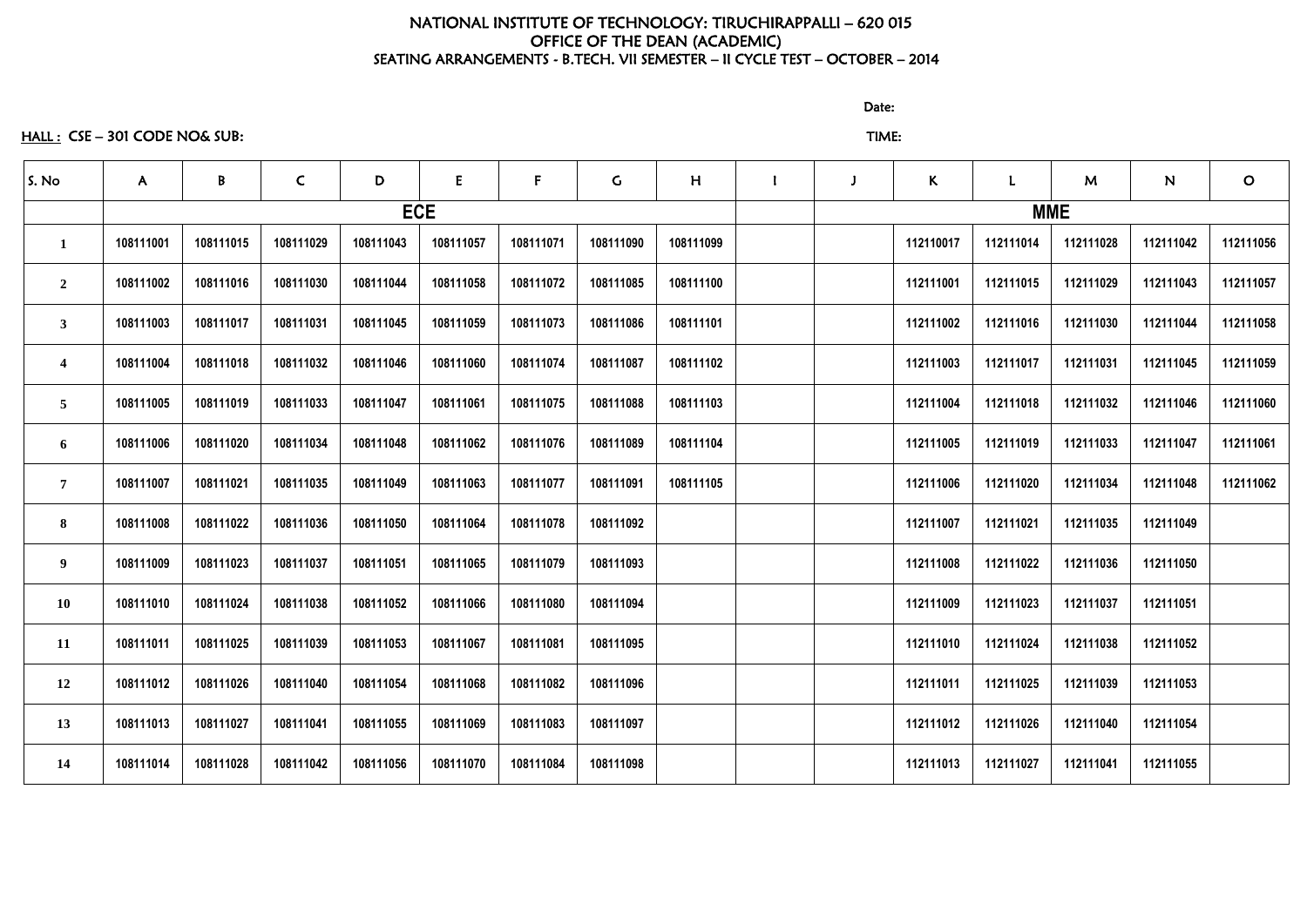HALL : CSE – 301 CODE NO& SUB: TIME:

discussion of the contract of the contract of the Date:

| S. No                   | $\mathsf{A}$ | $\mathbf{B}$ | $\mathsf{C}$ | D         | E          | $F_{\parallel}$ | $\mathsf C$ | H         |  | $\kappa$  | $\mathbf{L}$ | M         | N         | $\mathbf O$ |
|-------------------------|--------------|--------------|--------------|-----------|------------|-----------------|-------------|-----------|--|-----------|--------------|-----------|-----------|-------------|
|                         |              |              |              |           | <b>ECE</b> |                 |             |           |  |           | <b>MME</b>   |           |           |             |
| $\mathbf 1$             | 108111001    | 108111015    | 108111029    | 108111043 | 108111057  | 108111071       | 108111090   | 108111099 |  | 112110017 | 112111014    | 112111028 | 112111042 | 112111056   |
| $\overline{2}$          | 108111002    | 108111016    | 108111030    | 108111044 | 108111058  | 108111072       | 108111085   | 108111100 |  | 112111001 | 112111015    | 112111029 | 112111043 | 112111057   |
| $\mathbf{3}$            | 108111003    | 108111017    | 108111031    | 108111045 | 108111059  | 108111073       | 108111086   | 108111101 |  | 112111002 | 112111016    | 112111030 | 112111044 | 112111058   |
| $\overline{\mathbf{4}}$ | 108111004    | 108111018    | 108111032    | 108111046 | 108111060  | 108111074       | 108111087   | 108111102 |  | 112111003 | 112111017    | 112111031 | 112111045 | 112111059   |
| 5                       | 108111005    | 108111019    | 108111033    | 108111047 | 108111061  | 108111075       | 108111088   | 108111103 |  | 112111004 | 112111018    | 112111032 | 112111046 | 112111060   |
| 6                       | 108111006    | 108111020    | 108111034    | 108111048 | 108111062  | 108111076       | 108111089   | 108111104 |  | 112111005 | 112111019    | 112111033 | 112111047 | 112111061   |
| $\overline{7}$          | 108111007    | 108111021    | 108111035    | 108111049 | 108111063  | 108111077       | 108111091   | 108111105 |  | 112111006 | 112111020    | 112111034 | 112111048 | 112111062   |
| 8                       | 108111008    | 108111022    | 108111036    | 108111050 | 108111064  | 108111078       | 108111092   |           |  | 112111007 | 112111021    | 112111035 | 112111049 |             |
| 9 <sup>°</sup>          | 108111009    | 108111023    | 108111037    | 108111051 | 108111065  | 108111079       | 108111093   |           |  | 112111008 | 112111022    | 112111036 | 112111050 |             |
| <b>10</b>               | 108111010    | 108111024    | 108111038    | 108111052 | 108111066  | 108111080       | 108111094   |           |  | 112111009 | 112111023    | 112111037 | 112111051 |             |
| 11                      | 108111011    | 108111025    | 108111039    | 108111053 | 108111067  | 108111081       | 108111095   |           |  | 112111010 | 112111024    | 112111038 | 112111052 |             |
| 12                      | 108111012    | 108111026    | 108111040    | 108111054 | 108111068  | 108111082       | 108111096   |           |  | 112111011 | 112111025    | 112111039 | 112111053 |             |
| 13                      | 108111013    | 108111027    | 108111041    | 108111055 | 108111069  | 108111083       | 108111097   |           |  | 112111012 | 112111026    | 112111040 | 112111054 |             |
| 14                      | 108111014    | 108111028    | 108111042    | 108111056 | 108111070  | 108111084       | 108111098   |           |  | 112111013 | 112111027    | 112111041 | 112111055 |             |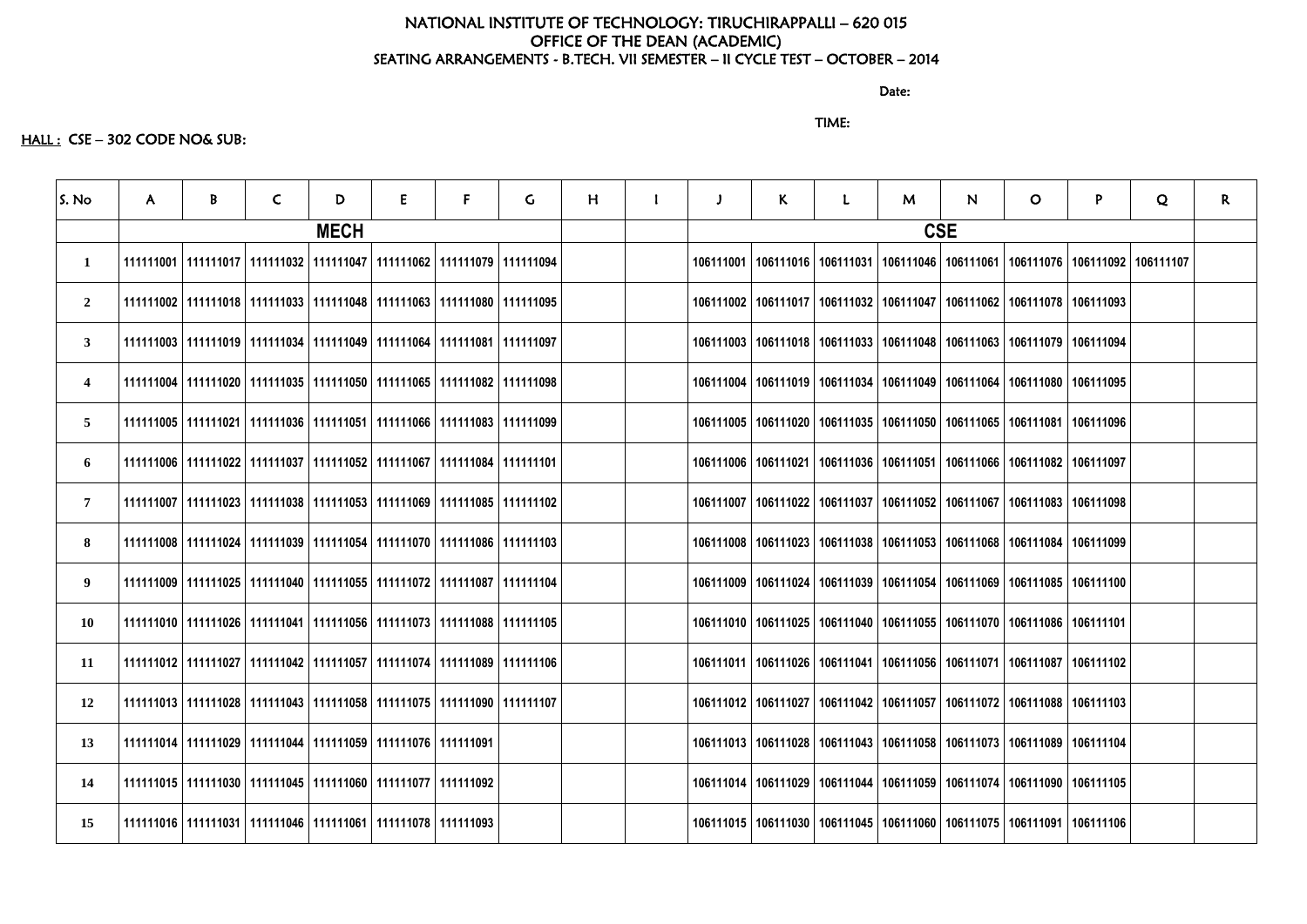discussion of the contract of the contract of the Date:

#### TIME:

#### HALL : CSE - 302 CODE NO& SUB:

| S. No                   | $\mathsf{A}$ | B | C                                                                                 | D           | E | F. | G. | H |           | $\mathsf{K}$                                                                      | M | N.         | $\mathsf{O}$                                                          | P. | Q | $\mathsf{R}$ |
|-------------------------|--------------|---|-----------------------------------------------------------------------------------|-------------|---|----|----|---|-----------|-----------------------------------------------------------------------------------|---|------------|-----------------------------------------------------------------------|----|---|--------------|
|                         |              |   |                                                                                   | <b>MECH</b> |   |    |    |   |           |                                                                                   |   | <b>CSE</b> |                                                                       |    |   |              |
| $\mathbf{1}$            |              |   | 111111001   111111017   111111032   111111047   111111062   111111079   111111094 |             |   |    |    |   | 106111001 | 106111016   106111031   106111046   106111061   106111076   106111092   106111107 |   |            |                                                                       |    |   |              |
| $\overline{2}$          |              |   | 111111002   111111018   111111033   111111048   111111063   111111080   111111095 |             |   |    |    |   | 106111002 | 106111017   106111032   106111047   106111062   106111078   106111093             |   |            |                                                                       |    |   |              |
| $\mathbf{3}$            |              |   | 111111003   111111019   111111034   111111049   111111064   111111081   111111097 |             |   |    |    |   |           | 106111003   106111018   106111033   106111048   106111063   106111079   106111094 |   |            |                                                                       |    |   |              |
| $\overline{\mathbf{4}}$ |              |   | 111111004   111111020   111111035   111111050   111111065   111111082   111111098 |             |   |    |    |   |           | 106111004   106111019   106111034   106111049   106111064   106111080   106111095 |   |            |                                                                       |    |   |              |
| $\overline{5}$          |              |   | 111111005   111111021   111111036   111111051   111111066   111111083   111111099 |             |   |    |    |   |           | 106111005   106111020   106111035   106111050   106111065   106111081   106111096 |   |            |                                                                       |    |   |              |
| 6                       |              |   | 111111006   111111022   111111037   111111052   111111067   111111084   111111101 |             |   |    |    |   |           | 106111006   106111021   106111036   106111051   106111066   106111082   106111097 |   |            |                                                                       |    |   |              |
| $\overline{7}$          |              |   | 111111007   111111023   111111038   111111053   111111069   111111085   111111102 |             |   |    |    |   | 106111007 |                                                                                   |   |            | 106111022   106111037   106111052   106111067   106111083   106111098 |    |   |              |
| 8                       |              |   | 111111008   111111024   111111039   111111054   111111070   111111086   111111103 |             |   |    |    |   |           | 106111008   106111023   106111038   106111053   106111068   106111084   106111099 |   |            |                                                                       |    |   |              |
| 9                       |              |   | 111111009   111111025   111111040   111111055   111111072   111111087   111111104 |             |   |    |    |   |           | 106111009   106111024   106111039   106111054   106111069   106111085   106111100 |   |            |                                                                       |    |   |              |
| 10                      |              |   | 111111010   111111026   111111041   111111056   111111073   111111088   111111105 |             |   |    |    |   |           | 106111010   106111025   106111040   106111055   106111070   106111086   106111101 |   |            |                                                                       |    |   |              |
| 11                      |              |   | 111111012   111111027   111111042   111111057   111111074   111111089   111111106 |             |   |    |    |   |           | 106111011   106111026   106111041   106111056   106111071   106111087   106111102 |   |            |                                                                       |    |   |              |
| 12                      |              |   | 111111013   111111028   111111043   111111058   111111075   111111090   111111107 |             |   |    |    |   |           | 106111012   106111027   106111042   106111057   106111072   106111088   106111103 |   |            |                                                                       |    |   |              |
| 13                      |              |   | 111111014   111111029   111111044   111111059   111111076   111111091             |             |   |    |    |   |           | 106111013   106111028   106111043   106111058   106111073   106111089   106111104 |   |            |                                                                       |    |   |              |
| 14                      |              |   | 111111015   111111030   111111045   111111060   111111077   111111092             |             |   |    |    |   |           | 106111014   106111029   106111044   106111059   106111074   106111090   106111105 |   |            |                                                                       |    |   |              |
| 15                      |              |   | 111111016   111111031   111111046   111111061   111111078   111111093             |             |   |    |    |   |           | 106111015   106111030   106111045   106111060   106111075   106111091   106111106 |   |            |                                                                       |    |   |              |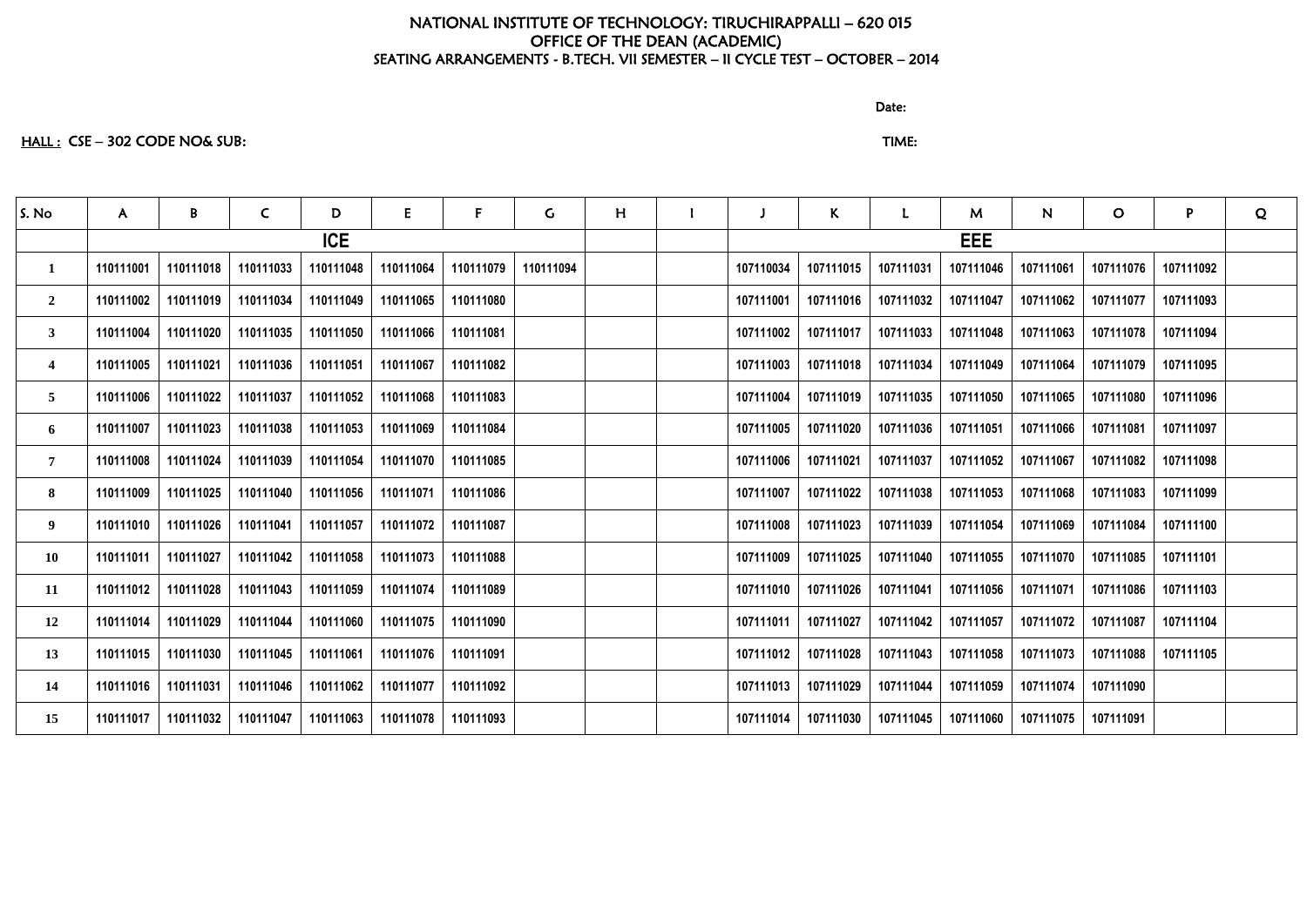discussion of the contract of the contract of the Date:

# HALL : CSE – 302 CODE NO& SUB: TIME:

| S. No          | $\mathsf{A}$ | B         | $\mathsf{C}$ | D          | E         | F.        | G         | H |           | K.        | L.        | M          | N         | $\mathbf O$ | P         | Q |
|----------------|--------------|-----------|--------------|------------|-----------|-----------|-----------|---|-----------|-----------|-----------|------------|-----------|-------------|-----------|---|
|                |              |           |              | <b>ICE</b> |           |           |           |   |           |           |           | <b>EEE</b> |           |             |           |   |
| $\mathbf{1}$   | 110111001    | 110111018 | 110111033    | 110111048  | 110111064 | 110111079 | 110111094 |   | 107110034 | 107111015 | 107111031 | 107111046  | 107111061 | 107111076   | 107111092 |   |
| $\overline{2}$ | 110111002    | 110111019 | 110111034    | 110111049  | 110111065 | 110111080 |           |   | 107111001 | 107111016 | 107111032 | 107111047  | 107111062 | 107111077   | 107111093 |   |
| $3^{\circ}$    | 110111004    | 110111020 | 110111035    | 110111050  | 110111066 | 110111081 |           |   | 107111002 | 107111017 | 107111033 | 107111048  | 107111063 | 107111078   | 107111094 |   |
| 4              | 110111005    | 110111021 | 110111036    | 110111051  | 110111067 | 110111082 |           |   | 107111003 | 107111018 | 107111034 | 107111049  | 107111064 | 107111079   | 107111095 |   |
| 5              | 110111006    | 110111022 | 110111037    | 110111052  | 110111068 | 110111083 |           |   | 107111004 | 107111019 | 107111035 | 107111050  | 107111065 | 107111080   | 107111096 |   |
| 6              | 110111007    | 110111023 | 110111038    | 110111053  | 110111069 | 110111084 |           |   | 107111005 | 107111020 | 107111036 | 107111051  | 107111066 | 107111081   | 107111097 |   |
| $\overline{7}$ | 110111008    | 110111024 | 110111039    | 110111054  | 110111070 | 110111085 |           |   | 107111006 | 107111021 | 107111037 | 107111052  | 107111067 | 107111082   | 107111098 |   |
| 8              | 110111009    | 110111025 | 110111040    | 110111056  | 110111071 | 110111086 |           |   | 107111007 | 107111022 | 107111038 | 107111053  | 107111068 | 107111083   | 107111099 |   |
| 9              | 110111010    | 110111026 | 110111041    | 110111057  | 110111072 | 110111087 |           |   | 107111008 | 107111023 | 107111039 | 107111054  | 107111069 | 107111084   | 107111100 |   |
| <b>10</b>      | 110111011    | 110111027 | 110111042    | 110111058  | 110111073 | 110111088 |           |   | 107111009 | 107111025 | 107111040 | 107111055  | 107111070 | 107111085   | 107111101 |   |
| 11             | 110111012    | 110111028 | 110111043    | 110111059  | 110111074 | 110111089 |           |   | 107111010 | 107111026 | 107111041 | 107111056  | 107111071 | 107111086   | 107111103 |   |
| 12             | 110111014    | 110111029 | 110111044    | 110111060  | 110111075 | 110111090 |           |   | 107111011 | 107111027 | 107111042 | 107111057  | 107111072 | 107111087   | 107111104 |   |
| 13             | 110111015    | 110111030 | 110111045    | 110111061  | 110111076 | 110111091 |           |   | 107111012 | 107111028 | 107111043 | 107111058  | 107111073 | 107111088   | 107111105 |   |
| 14             | 110111016    | 110111031 | 110111046    | 110111062  | 110111077 | 110111092 |           |   | 107111013 | 107111029 | 107111044 | 107111059  | 107111074 | 107111090   |           |   |
| 15             | 110111017    | 110111032 | 110111047    | 110111063  | 110111078 | 110111093 |           |   | 107111014 | 107111030 | 107111045 | 107111060  | 107111075 | 107111091   |           |   |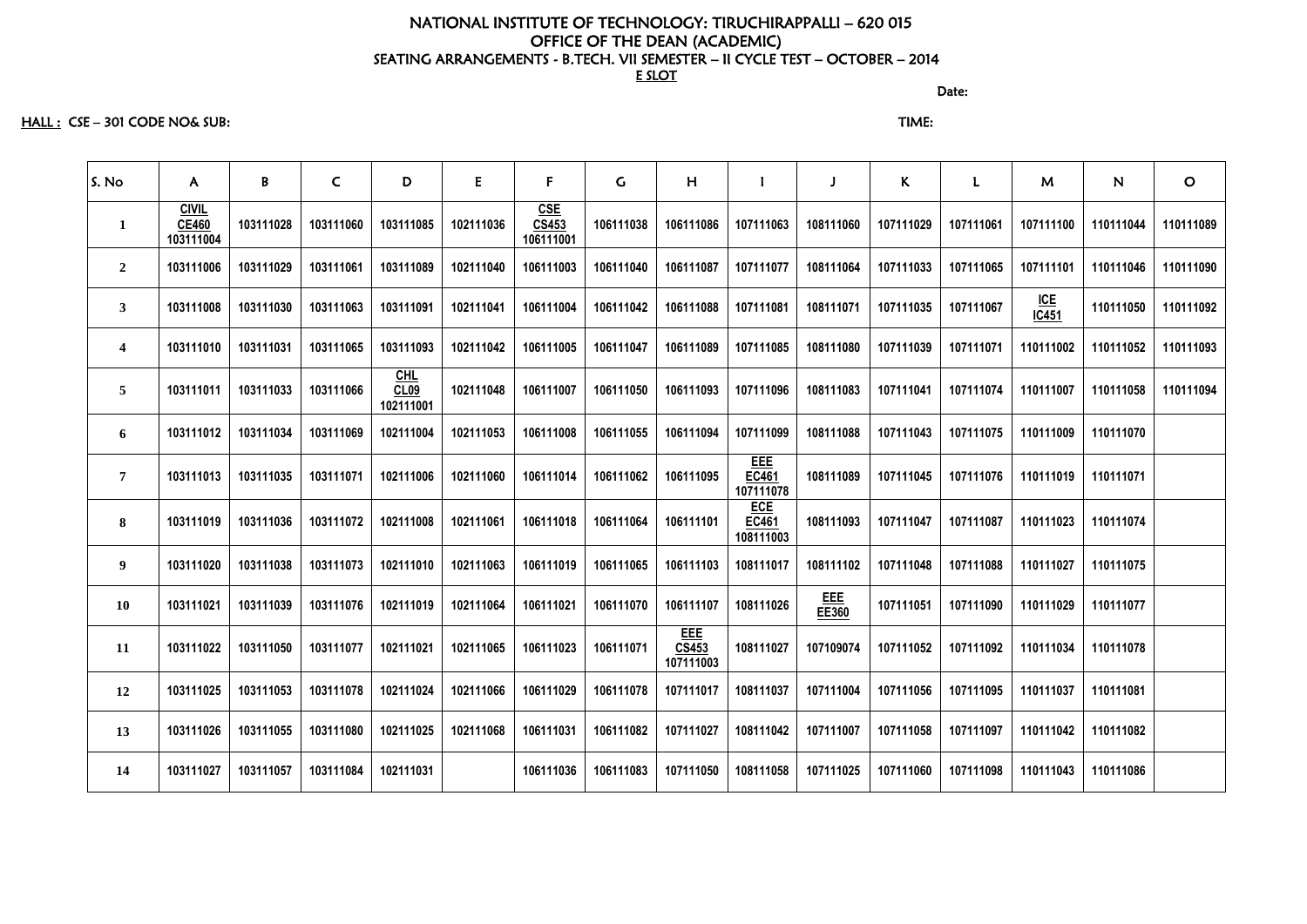HALL : CSE – 301 CODE NO& SUB: TIME:

| S. No                   | A                                         | B         | $\mathsf{C}$ | D                          | E         | $\mathsf{F}$                     | G         | H                                       |                                         |              | K         | L         | M                | N         | $\mathbf O$ |
|-------------------------|-------------------------------------------|-----------|--------------|----------------------------|-----------|----------------------------------|-----------|-----------------------------------------|-----------------------------------------|--------------|-----------|-----------|------------------|-----------|-------------|
| $\mathbf{1}$            | <u>CIVIL</u><br><b>CE460</b><br>103111004 | 103111028 | 103111060    | 103111085                  | 102111036 | <u>CSE</u><br>CS453<br>106111001 | 106111038 | 106111086                               | 107111063                               | 108111060    | 107111029 | 107111061 | 107111100        | 110111044 | 110111089   |
| $\overline{2}$          | 103111006                                 | 103111029 | 103111061    | 103111089                  | 102111040 | 106111003                        | 106111040 | 106111087                               | 107111077                               | 108111064    | 107111033 | 107111065 | 107111101        | 110111046 | 110111090   |
| $\mathbf{3}$            | 103111008                                 | 103111030 | 103111063    | 103111091                  | 102111041 | 106111004                        | 106111042 | 106111088                               | 107111081                               | 108111071    | 107111035 | 107111067 | $ICE$<br>$IC451$ | 110111050 | 110111092   |
| $\overline{\mathbf{4}}$ | 103111010                                 | 103111031 | 103111065    | 103111093                  | 102111042 | 106111005                        | 106111047 | 106111089                               | 107111085                               | 108111080    | 107111039 | 107111071 | 110111002        | 110111052 | 110111093   |
| $\overline{5}$          | 103111011                                 | 103111033 | 103111066    | $CHL$<br>CL09<br>102111001 | 102111048 | 106111007                        | 106111050 | 106111093                               | 107111096                               | 108111083    | 107111041 | 107111074 | 110111007        | 110111058 | 110111094   |
| 6                       | 103111012                                 | 103111034 | 103111069    | 102111004                  | 102111053 | 106111008                        | 106111055 | 106111094                               | 107111099                               | 108111088    | 107111043 | 107111075 | 110111009        | 110111070 |             |
| $\overline{7}$          | 103111013                                 | 103111035 | 103111071    | 102111006                  | 102111060 | 106111014                        | 106111062 | 106111095                               | <u>EEE</u><br><b>EC461</b><br>107111078 | 108111089    | 107111045 | 107111076 | 110111019        | 110111071 |             |
| 8                       | 103111019                                 | 103111036 | 103111072    | 102111008                  | 102111061 | 106111018                        | 106111064 | 106111101                               | <b>ECE</b><br>EC461<br>108111003        | 108111093    | 107111047 | 107111087 | 110111023        | 110111074 |             |
| 9                       | 103111020                                 | 103111038 | 103111073    | 102111010                  | 102111063 | 106111019                        | 106111065 | 106111103                               | 108111017                               | 108111102    | 107111048 | 107111088 | 110111027        | 110111075 |             |
| <b>10</b>               | 103111021                                 | 103111039 | 103111076    | 102111019                  | 102111064 | 106111021                        | 106111070 | 106111107                               | 108111026                               | EEE<br>EE360 | 107111051 | 107111090 | 110111029        | 110111077 |             |
| <b>11</b>               | 103111022                                 | 103111050 | 103111077    | 102111021                  | 102111065 | 106111023                        | 106111071 | <b>EEE</b><br><b>CS453</b><br>107111003 | 108111027                               | 107109074    | 107111052 | 107111092 | 110111034        | 110111078 |             |
| 12                      | 103111025                                 | 103111053 | 103111078    | 102111024                  | 102111066 | 106111029                        | 106111078 | 107111017                               | 108111037                               | 107111004    | 107111056 | 107111095 | 110111037        | 110111081 |             |
| 13                      | 103111026                                 | 103111055 | 103111080    | 102111025                  | 102111068 | 106111031                        | 106111082 | 107111027                               | 108111042                               | 107111007    | 107111058 | 107111097 | 110111042        | 110111082 |             |
| 14                      | 103111027                                 | 103111057 | 103111084    | 102111031                  |           | 106111036                        | 106111083 | 107111050                               | 108111058                               | 107111025    | 107111060 | 107111098 | 110111043        | 110111086 |             |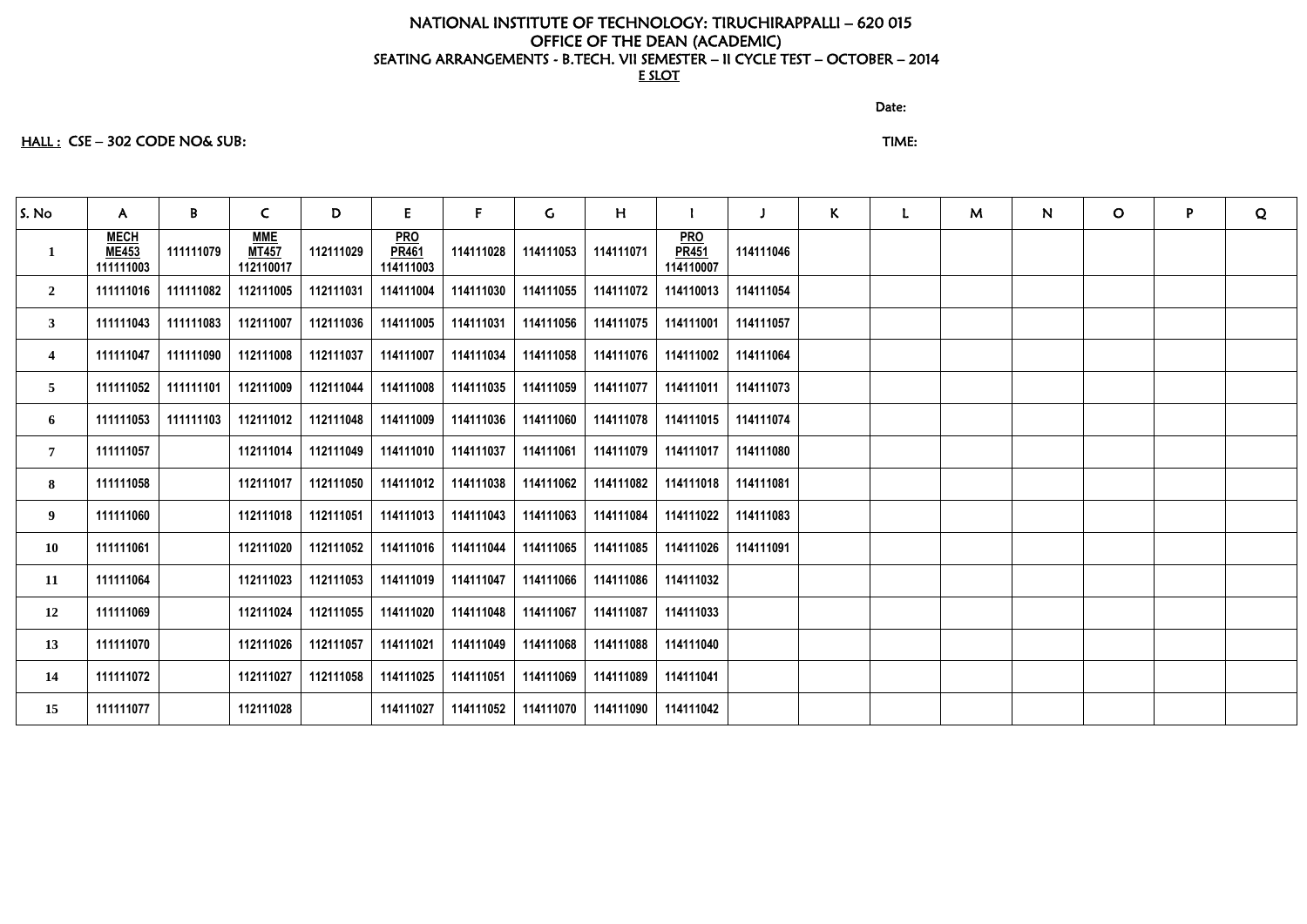# HALL : CSE – 302 CODE NO& SUB: TIME:

discussion of the contract of the contract of the Date:

| S. No                   | $\mathsf{A}$                             | B         | $\mathsf{C}$                            | D         | E.                                      | F.        | $\mathsf{G}$ | H         |                                         | $\mathbf{J}$ | K | $\mathbf{L}$ | M | N | $\mathsf{O}$ | P | Q |
|-------------------------|------------------------------------------|-----------|-----------------------------------------|-----------|-----------------------------------------|-----------|--------------|-----------|-----------------------------------------|--------------|---|--------------|---|---|--------------|---|---|
| $\mathbf{1}$            | <b>MECH</b><br><b>ME453</b><br>111111003 | 111111079 | <b>MME</b><br><b>MT457</b><br>112110017 | 112111029 | <b>PRO</b><br><b>PR461</b><br>114111003 | 114111028 | 114111053    | 114111071 | <b>PRO</b><br><b>PR451</b><br>114110007 | 114111046    |   |              |   |   |              |   |   |
| $\mathbf{2}$            | 111111016                                | 111111082 | 112111005                               | 112111031 | 114111004                               | 114111030 | 114111055    | 114111072 | 114110013                               | 114111054    |   |              |   |   |              |   |   |
| 3 <sup>7</sup>          | 111111043                                | 111111083 | 112111007                               | 112111036 | 114111005                               | 114111031 | 114111056    | 114111075 | 114111001                               | 114111057    |   |              |   |   |              |   |   |
| $\overline{\mathbf{4}}$ | 111111047                                | 111111090 | 112111008                               | 112111037 | 114111007                               | 114111034 | 114111058    | 114111076 | 114111002                               | 114111064    |   |              |   |   |              |   |   |
| 5 <sup>5</sup>          | 111111052                                | 111111101 | 112111009                               | 112111044 | 114111008                               | 114111035 | 114111059    | 114111077 | 114111011                               | 114111073    |   |              |   |   |              |   |   |
| 6                       | 111111053                                | 111111103 | 112111012                               | 112111048 | 114111009                               | 114111036 | 114111060    | 114111078 | 114111015                               | 114111074    |   |              |   |   |              |   |   |
| 7 <sup>1</sup>          | 111111057                                |           | 112111014                               | 112111049 | 114111010                               | 114111037 | 114111061    | 114111079 | 114111017                               | 114111080    |   |              |   |   |              |   |   |
| 8                       | 111111058                                |           | 112111017                               | 112111050 | 114111012                               | 114111038 | 114111062    | 114111082 | 114111018                               | 114111081    |   |              |   |   |              |   |   |
| 9                       | 111111060                                |           | 112111018                               | 112111051 | 114111013                               | 114111043 | 114111063    | 114111084 | 114111022                               | 114111083    |   |              |   |   |              |   |   |
| 10                      | 111111061                                |           | 112111020                               | 112111052 | 114111016                               | 114111044 | 114111065    | 114111085 | 114111026                               | 114111091    |   |              |   |   |              |   |   |
| 11                      | 111111064                                |           | 112111023                               | 112111053 | 114111019                               | 114111047 | 114111066    | 114111086 | 114111032                               |              |   |              |   |   |              |   |   |
| 12                      | 111111069                                |           | 112111024                               | 112111055 | 114111020                               | 114111048 | 114111067    | 114111087 | 114111033                               |              |   |              |   |   |              |   |   |
| 13                      | 111111070                                |           | 112111026                               | 112111057 | 114111021                               | 114111049 | 114111068    | 114111088 | 114111040                               |              |   |              |   |   |              |   |   |
| 14                      | 111111072                                |           | 112111027                               | 112111058 | 114111025                               | 114111051 | 114111069    | 114111089 | 114111041                               |              |   |              |   |   |              |   |   |
| 15                      | 111111077                                |           | 112111028                               |           | 114111027                               | 114111052 | 114111070    | 114111090 | 114111042                               |              |   |              |   |   |              |   |   |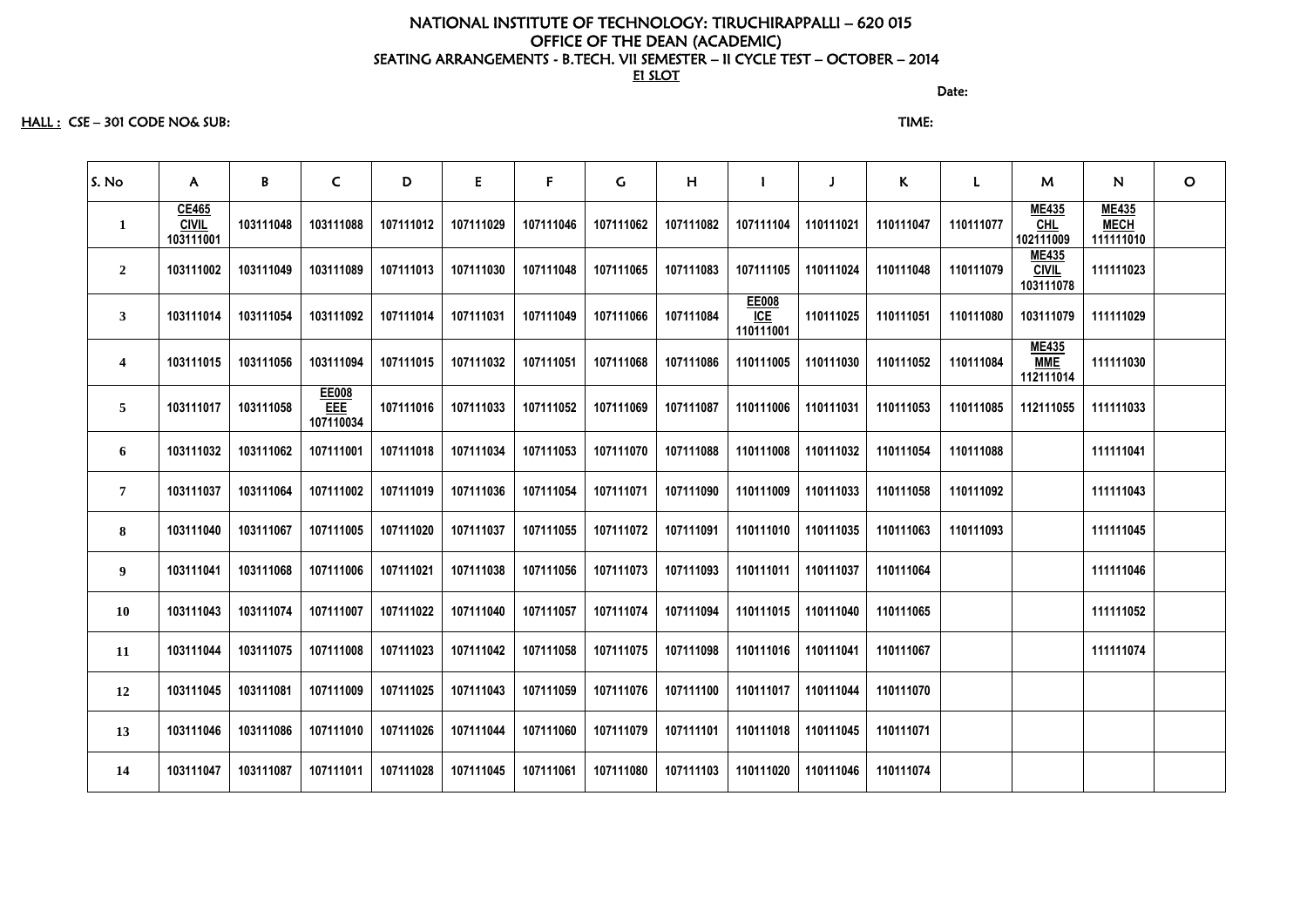discussion of the contract of the contract of the contract of the contract of the contract of the contract of the contract of the contract of the contract of the contract of the contract of the contract of the contract of

HALL : CSE – 301 CODE NO& SUB: TIME:

| S. No                   | $\mathsf{A}$                       | B         | $\mathsf{C}$                     | D         | E         | F         | $\mathsf{C}$ | H         |                           |           | $\mathsf{K}$ | $\mathsf{L}$ | M                                         | N.                                       | $\mathsf{O}$ |
|-------------------------|------------------------------------|-----------|----------------------------------|-----------|-----------|-----------|--------------|-----------|---------------------------|-----------|--------------|--------------|-------------------------------------------|------------------------------------------|--------------|
| $\mathbf{1}$            | CE465<br><b>CIVIL</b><br>103111001 | 103111048 | 103111088                        | 107111012 | 107111029 | 107111046 | 107111062    | 107111082 | 107111104                 | 110111021 | 110111047    | 110111077    | <b>ME435</b><br>$CHL$<br>102111009        | <b>ME435</b><br><b>MECH</b><br>111111010 |              |
| $\overline{2}$          | 103111002                          | 103111049 | 103111089                        | 107111013 | 107111030 | 107111048 | 107111065    | 107111083 | 107111105                 | 110111024 | 110111048    | 110111079    | <b>ME435</b><br><b>CIVIL</b><br>103111078 | 111111023                                |              |
| $\mathbf{3}$            | 103111014                          | 103111054 | 103111092                        | 107111014 | 107111031 | 107111049 | 107111066    | 107111084 | EE008<br>ICE<br>110111001 | 110111025 | 110111051    | 110111080    | 103111079                                 | 111111029                                |              |
| $\overline{\mathbf{4}}$ | 103111015                          | 103111056 | 103111094                        | 107111015 | 107111032 | 107111051 | 107111068    | 107111086 | 110111005                 | 110111030 | 110111052    | 110111084    | <b>ME435</b><br><b>MME</b><br>112111014   | 111111030                                |              |
| $\overline{5}$          | 103111017                          | 103111058 | EE008<br><b>EEE</b><br>107110034 | 107111016 | 107111033 | 107111052 | 107111069    | 107111087 | 110111006                 | 110111031 | 110111053    | 110111085    | 112111055                                 | 111111033                                |              |
| 6                       | 103111032                          | 103111062 | 107111001                        | 107111018 | 107111034 | 107111053 | 107111070    | 107111088 | 110111008                 | 110111032 | 110111054    | 110111088    |                                           | 111111041                                |              |
| $\overline{7}$          | 103111037                          | 103111064 | 107111002                        | 107111019 | 107111036 | 107111054 | 107111071    | 107111090 | 110111009                 | 110111033 | 110111058    | 110111092    |                                           | 111111043                                |              |
| 8                       | 103111040                          | 103111067 | 107111005                        | 107111020 | 107111037 | 107111055 | 107111072    | 107111091 | 110111010                 | 110111035 | 110111063    | 110111093    |                                           | 111111045                                |              |
| 9                       | 103111041                          | 103111068 | 107111006                        | 107111021 | 107111038 | 107111056 | 107111073    | 107111093 | 110111011                 | 110111037 | 110111064    |              |                                           | 111111046                                |              |
| <b>10</b>               | 103111043                          | 103111074 | 107111007                        | 107111022 | 107111040 | 107111057 | 107111074    | 107111094 | 110111015                 | 110111040 | 110111065    |              |                                           | 111111052                                |              |
| 11                      | 103111044                          | 103111075 | 107111008                        | 107111023 | 107111042 | 107111058 | 107111075    | 107111098 | 110111016 110111041       |           | 110111067    |              |                                           | 111111074                                |              |
| 12                      | 103111045                          | 103111081 | 107111009                        | 107111025 | 107111043 | 107111059 | 107111076    | 107111100 | 110111017                 | 110111044 | 110111070    |              |                                           |                                          |              |
| 13                      | 103111046                          | 103111086 | 107111010                        | 107111026 | 107111044 | 107111060 | 107111079    | 107111101 | 110111018                 | 110111045 | 110111071    |              |                                           |                                          |              |
| 14                      | 103111047                          | 103111087 | 107111011                        | 107111028 | 107111045 | 107111061 | 107111080    | 107111103 | 110111020                 | 110111046 | 110111074    |              |                                           |                                          |              |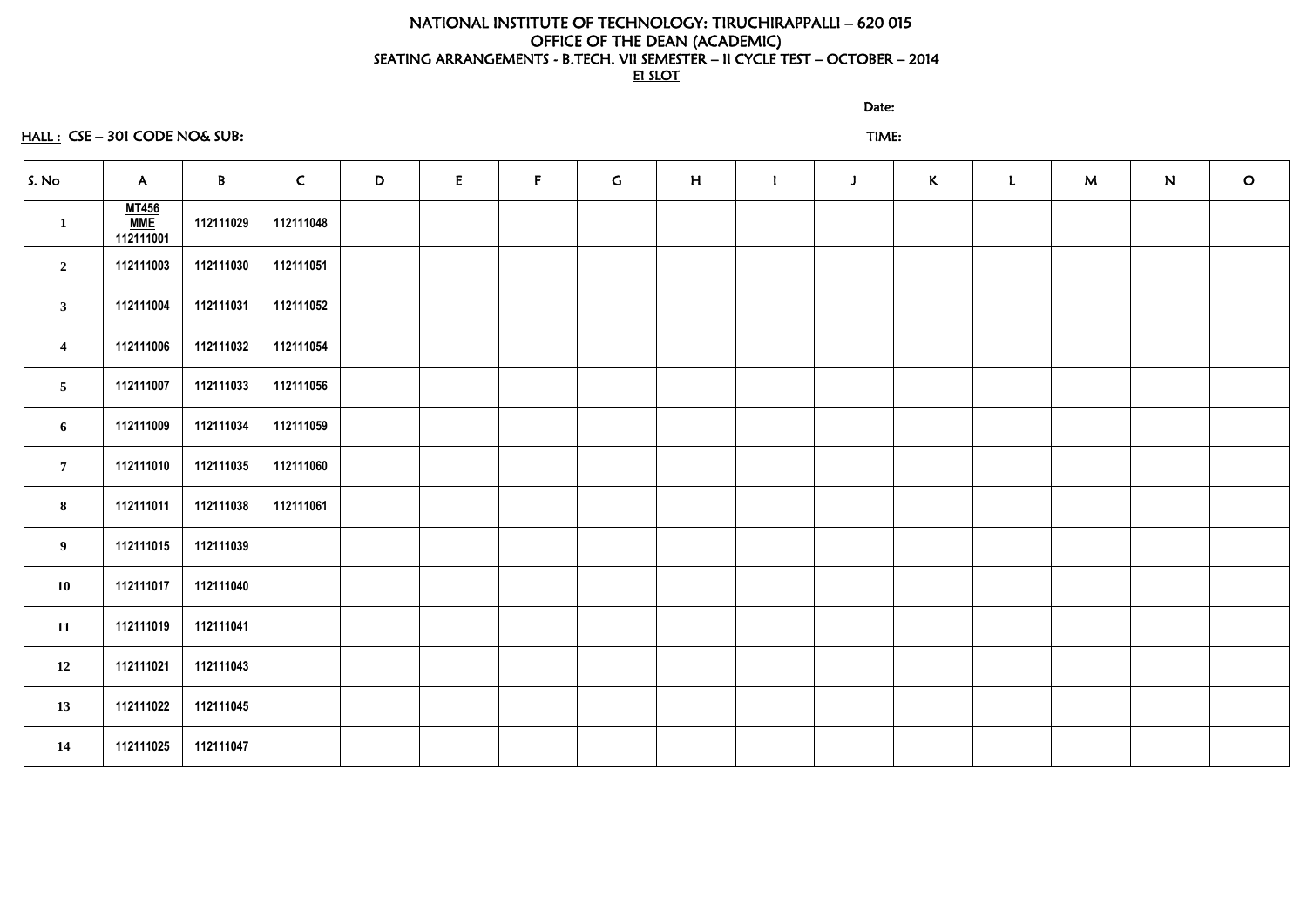# HALL : CSE – 301 CODE NO& SUB: TIME:

discussion of the contract of the contract of the Date:

| S. No                   | $\mathsf{A}$                     | $\mathsf{B}$ | $\mathsf{C}$ | D | E | $\mathsf{F}$ | $\mathsf{G}$ | H | $\mathbf{I}$ | $\mathbf{J}$ | $\kappa$ | $\mathbf{L}$ | M | N | $\mathsf{O}$ |
|-------------------------|----------------------------------|--------------|--------------|---|---|--------------|--------------|---|--------------|--------------|----------|--------------|---|---|--------------|
| $\mathbf{1}$            | <u>MT456</u><br>MME<br>112111001 | 112111029    | 112111048    |   |   |              |              |   |              |              |          |              |   |   |              |
| $\overline{2}$          | 112111003                        | 112111030    | 112111051    |   |   |              |              |   |              |              |          |              |   |   |              |
| $\mathbf{3}$            | 112111004                        | 112111031    | 112111052    |   |   |              |              |   |              |              |          |              |   |   |              |
| $\overline{\mathbf{4}}$ | 112111006                        | 112111032    | 112111054    |   |   |              |              |   |              |              |          |              |   |   |              |
| $5\overline{)}$         | 112111007                        | 112111033    | 112111056    |   |   |              |              |   |              |              |          |              |   |   |              |
| $\boldsymbol{6}$        | 112111009                        | 112111034    | 112111059    |   |   |              |              |   |              |              |          |              |   |   |              |
| $7\overline{ }$         | 112111010                        | 112111035    | 112111060    |   |   |              |              |   |              |              |          |              |   |   |              |
| 8                       | 112111011                        | 112111038    | 112111061    |   |   |              |              |   |              |              |          |              |   |   |              |
| 9 <sub>o</sub>          | 112111015                        | 112111039    |              |   |   |              |              |   |              |              |          |              |   |   |              |
| 10                      | 112111017                        | 112111040    |              |   |   |              |              |   |              |              |          |              |   |   |              |
| 11                      | 112111019                        | 112111041    |              |   |   |              |              |   |              |              |          |              |   |   |              |
| 12                      | 112111021                        | 112111043    |              |   |   |              |              |   |              |              |          |              |   |   |              |
| 13                      | 112111022                        | 112111045    |              |   |   |              |              |   |              |              |          |              |   |   |              |
| 14                      | 112111025                        | 112111047    |              |   |   |              |              |   |              |              |          |              |   |   |              |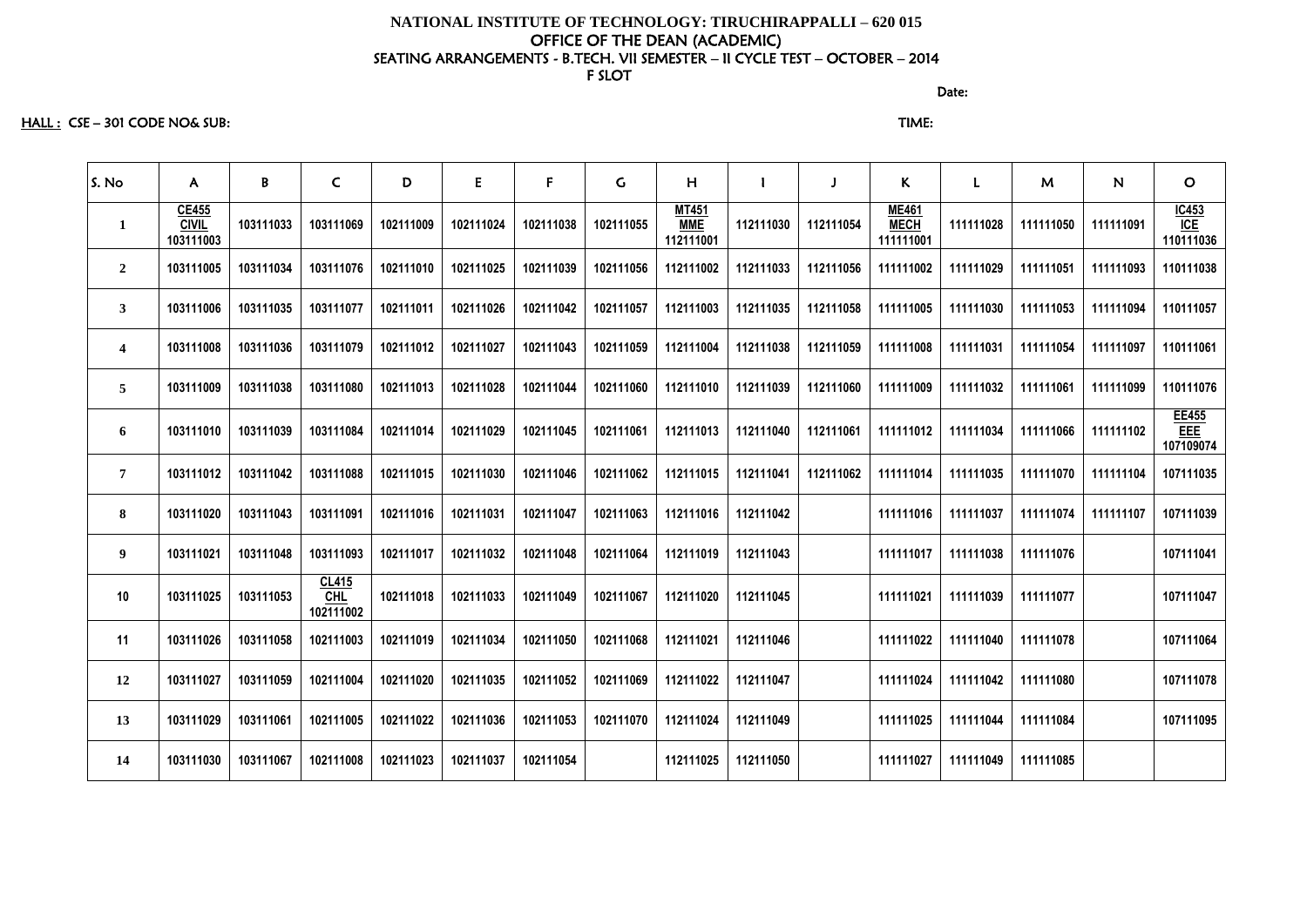HALL : CSE – 301 CODE NO& SUB: TIME:

| S. No                   | $\mathsf{A}$                       | B         | $\mathsf{C}$                     | D         | E         | $\mathsf F$ | $\mathsf C$ | H                                       |           |           | K.                                       | L         | M         | N         | $\mathbf O$                      |
|-------------------------|------------------------------------|-----------|----------------------------------|-----------|-----------|-------------|-------------|-----------------------------------------|-----------|-----------|------------------------------------------|-----------|-----------|-----------|----------------------------------|
| $\mathbf{1}$            | CE455<br><b>CIVIL</b><br>103111003 | 103111033 | 103111069                        | 102111009 | 102111024 | 102111038   | 102111055   | <b>MT451</b><br><b>MME</b><br>112111001 | 112111030 | 112111054 | <b>ME461</b><br><b>MECH</b><br>111111001 | 111111028 | 111111050 | 111111091 | $\frac{IC453}{ICE}$<br>110111036 |
| $\overline{2}$          | 103111005                          | 103111034 | 103111076                        | 102111010 | 102111025 | 102111039   | 102111056   | 112111002                               | 112111033 | 112111056 | 111111002                                | 111111029 | 111111051 | 111111093 | 110111038                        |
| 3 <sup>1</sup>          | 103111006                          | 103111035 | 103111077                        | 102111011 | 102111026 | 102111042   | 102111057   | 112111003                               | 112111035 | 112111058 | 111111005                                | 111111030 | 111111053 | 111111094 | 110111057                        |
| $\overline{\mathbf{4}}$ | 103111008                          | 103111036 | 103111079                        | 102111012 | 102111027 | 102111043   | 102111059   | 112111004                               | 112111038 | 112111059 | 111111008                                | 111111031 | 111111054 | 111111097 | 110111061                        |
| $5\phantom{.0}$         | 103111009                          | 103111038 | 103111080                        | 102111013 | 102111028 | 102111044   | 102111060   | 112111010                               | 112111039 | 112111060 | 111111009                                | 111111032 | 111111061 | 111111099 | 110111076                        |
| 6                       | 103111010                          | 103111039 | 103111084                        | 102111014 | 102111029 | 102111045   | 102111061   | 112111013                               | 112111040 | 112111061 | 111111012                                | 111111034 | 111111066 | 111111102 | EE455<br>EEE<br>107109074        |
| $\overline{7}$          | 103111012                          | 103111042 | 103111088                        | 102111015 | 102111030 | 102111046   | 102111062   | 112111015                               | 112111041 | 112111062 | 111111014                                | 111111035 | 111111070 | 111111104 | 107111035                        |
| 8                       | 103111020                          | 103111043 | 103111091                        | 102111016 | 102111031 | 102111047   | 102111063   | 112111016                               | 112111042 |           | 111111016                                | 111111037 | 111111074 | 111111107 | 107111039                        |
| $\boldsymbol{9}$        | 103111021                          | 103111048 | 103111093                        | 102111017 | 102111032 | 102111048   | 102111064   | 112111019                               | 112111043 |           | 111111017                                | 111111038 | 111111076 |           | 107111041                        |
| 10                      | 103111025                          | 103111053 | CL415<br><b>CHL</b><br>102111002 | 102111018 | 102111033 | 102111049   | 102111067   | 112111020                               | 112111045 |           | 111111021                                | 111111039 | 111111077 |           | 107111047                        |
| 11                      | 103111026                          | 103111058 | 102111003                        | 102111019 | 102111034 | 102111050   | 102111068   | 112111021                               | 112111046 |           | 111111022                                | 111111040 | 111111078 |           | 107111064                        |
| 12                      | 103111027                          | 103111059 | 102111004                        | 102111020 | 102111035 | 102111052   | 102111069   | 112111022                               | 112111047 |           | 111111024                                | 111111042 | 111111080 |           | 107111078                        |
| 13                      | 103111029                          | 103111061 | 102111005                        | 102111022 | 102111036 | 102111053   | 102111070   | 112111024                               | 112111049 |           | 111111025                                | 111111044 | 111111084 |           | 107111095                        |
| 14                      | 103111030                          | 103111067 | 102111008                        | 102111023 | 102111037 | 102111054   |             | 112111025                               | 112111050 |           | 111111027                                | 111111049 | 111111085 |           |                                  |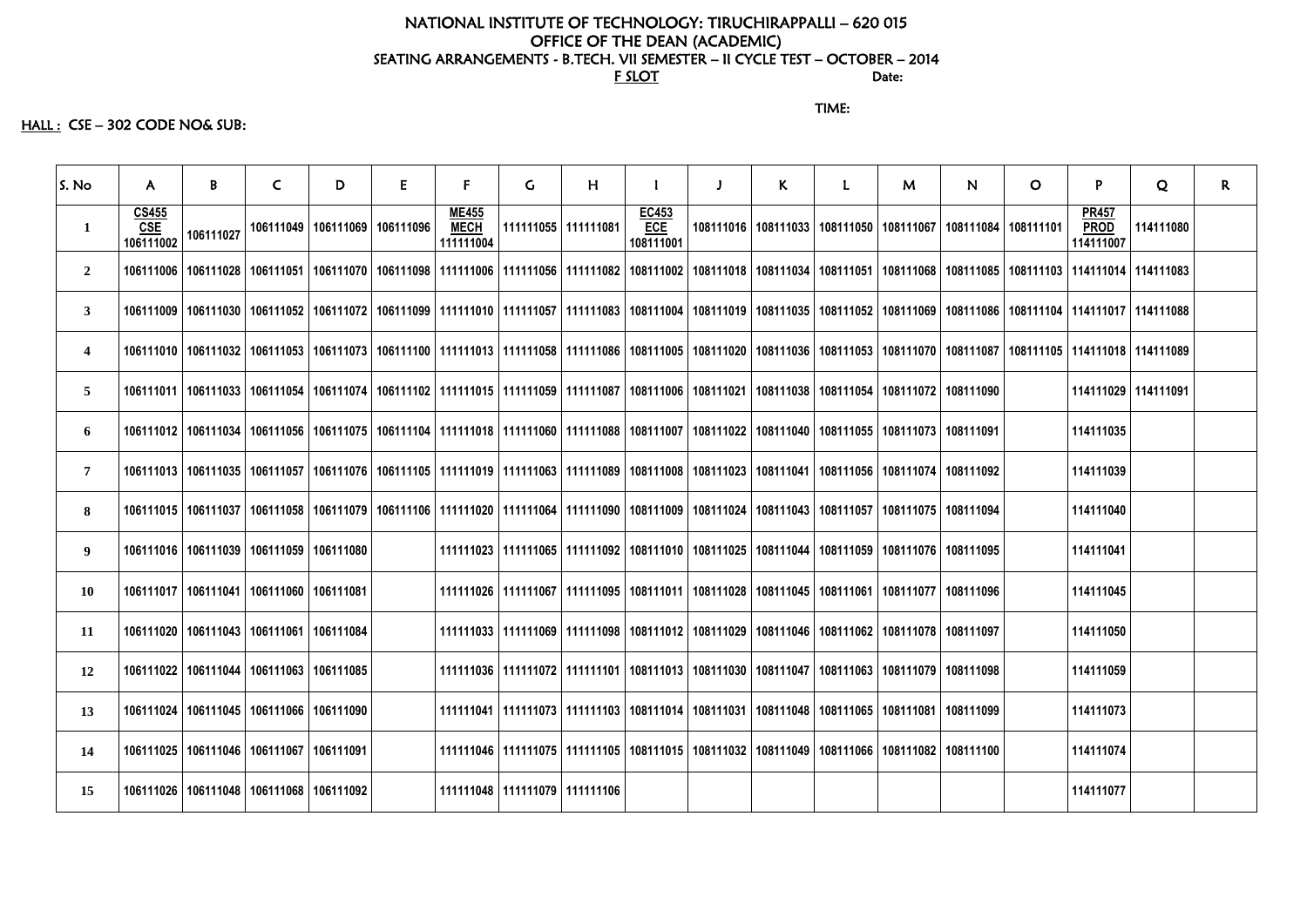#### NATIONAL INSTITUTE OF TECHNOLOGY: TIRUCHIRAPPALLI – 620 015 OFFICE OF THE DEAN (ACADEMIC) SEATING ARRANGEMENTS - B.TECH. VII SEMESTER – II CYCLE TEST – OCTOBER – 2014<br>Date: For the state: the state of  $\overline{\text{F}}$  such that  $\overline{\text{F}}$  such that  $\overline{\text{F}}$  such that  $\overline{\text{F}}$  such that  $\overline{\text{F}}$  such that  $\overline{\text{F}}$  such that  $\overline{\text{F}}$  such that  $\overline{\text{F}}$  such that  $\overline{\text{F}}$  such that  $\overline{\$

TIME:

#### $HALL:$   $CSE - 302$  CODE NO& SUB:

| S. No                   | $\mathsf{A}$              | B                                             | $\mathsf{C}$ | D | E                                 | $\mathsf{F}$                             | G                                 | H                     |                                  | $\mathbf{J}$                                                                                                                                                                                                         | K |                                               | M | N.                    | $\mathbf{O}$                                  | P                                        | Q         | $\mathsf{R}$ |
|-------------------------|---------------------------|-----------------------------------------------|--------------|---|-----------------------------------|------------------------------------------|-----------------------------------|-----------------------|----------------------------------|----------------------------------------------------------------------------------------------------------------------------------------------------------------------------------------------------------------------|---|-----------------------------------------------|---|-----------------------|-----------------------------------------------|------------------------------------------|-----------|--------------|
| $\mathbf{1}$            | CS455<br>CSE<br>106111002 | 106111027                                     |              |   | 106111049   106111069   106111096 | <b>ME455</b><br><b>MECH</b><br>111111004 |                                   | 111111055   111111081 | EC453<br><b>ECE</b><br>108111001 |                                                                                                                                                                                                                      |   | 108111016   108111033   108111050   108111067 |   | 108111084   108111101 |                                               | <b>PR457</b><br><b>PROD</b><br>114111007 | 114111080 |              |
| $\overline{2}$          |                           |                                               |              |   |                                   |                                          |                                   |                       |                                  | 106111006   106111028   106111051   106111070   106111098   111111006   111111056   111111082   108111002   108111018   108111034   108111051   108111068                                                            |   |                                               |   |                       | 108111085   108111103   114111014   114111083 |                                          |           |              |
| $\mathbf{3}$            |                           |                                               |              |   |                                   |                                          |                                   |                       |                                  | 106111009   106111030   106111052   106111072   106111099   111111010   111111057   111111083   108111004   108111019   108111035   108111052   108111069   108111086   10811104   114111017   114111088             |   |                                               |   |                       |                                               |                                          |           |              |
| $\overline{\mathbf{4}}$ |                           |                                               |              |   |                                   |                                          |                                   |                       |                                  | 106111010   106111032   106111053   106111073   106111100   111111013   111111058   111111086   108111005   108111020   108111036   108111053   108111070   108111087   10811105   114111018   114111018   114111089 |   |                                               |   |                       |                                               |                                          |           |              |
| $\overline{5}$          |                           |                                               |              |   |                                   |                                          |                                   |                       |                                  | 106111011   106111033   106111054   106111074   106111102   111111015   111111059   111111087   108111006   108111021   108111038   108111054   108111072   108111090                                                |   |                                               |   |                       |                                               | 114111029 114111091                      |           |              |
| 6                       |                           |                                               |              |   |                                   |                                          |                                   |                       |                                  | 106111012   106111034   106111056   106111075   106111104   111111018   111111060   111111088   108111007   108111022   108111040   108111055   108111073   108111091                                                |   |                                               |   |                       |                                               | 114111035                                |           |              |
| $\overline{7}$          |                           |                                               |              |   |                                   |                                          |                                   |                       |                                  | 106111013   106111035   106111057   106111076   106111105   111111019   111111063   111111089   108111008   108111023   108111041   108111056   108111074   108111092                                                |   |                                               |   |                       |                                               | 114111039                                |           |              |
| 8                       |                           |                                               |              |   |                                   |                                          |                                   |                       |                                  | 106111015   106111037   106111058   106111079   106111106   111111020   111111064   111111090   108111009   108111024   108111043   108111057   108111075   108111094                                                |   |                                               |   |                       |                                               | 114111040                                |           |              |
| 9                       |                           | 106111016   106111039   106111059   106111080 |              |   |                                   |                                          |                                   |                       |                                  | 111111023   111111065   111111092   108111010   108111025   108111044   108111059   108111076   108111095                                                                                                            |   |                                               |   |                       |                                               | 114111041                                |           |              |
| <b>10</b>               |                           | 106111017   106111041   106111060   106111081 |              |   |                                   |                                          |                                   |                       |                                  | 111111026   111111067   111111095   108111011   108111028   108111045   108111061   108111077   108111096                                                                                                            |   |                                               |   |                       |                                               | 114111045                                |           |              |
| 11                      |                           | 106111020   106111043   106111061   106111084 |              |   |                                   |                                          |                                   |                       |                                  | 111111033   111111069   111111098   108111012   108111029   108111046   108111062   108111078   108111097                                                                                                            |   |                                               |   |                       |                                               | 114111050                                |           |              |
| 12                      |                           | 106111022   106111044   106111063   106111085 |              |   |                                   |                                          |                                   |                       |                                  | 111111036   111111072   111111101   108111013   108111030   108111047   108111063   108111079   108111098                                                                                                            |   |                                               |   |                       |                                               | 114111059                                |           |              |
| 13                      |                           | 106111024   106111045   106111066   106111090 |              |   |                                   |                                          |                                   |                       |                                  | 111111041   111111073   111111103   108111014   108111031   108111048   108111065   108111081   108111099                                                                                                            |   |                                               |   |                       |                                               | 114111073                                |           |              |
| 14                      |                           | 106111025   106111046   106111067   106111091 |              |   |                                   |                                          |                                   |                       |                                  | 111111046   111111075   111111105   108111015   108111032   108111049   108111066   108111082   108111100                                                                                                            |   |                                               |   |                       |                                               | 114111074                                |           |              |
| 15                      |                           | 106111026   106111048   106111068   106111092 |              |   |                                   |                                          | 111111048   111111079   111111106 |                       |                                  |                                                                                                                                                                                                                      |   |                                               |   |                       |                                               | 114111077                                |           |              |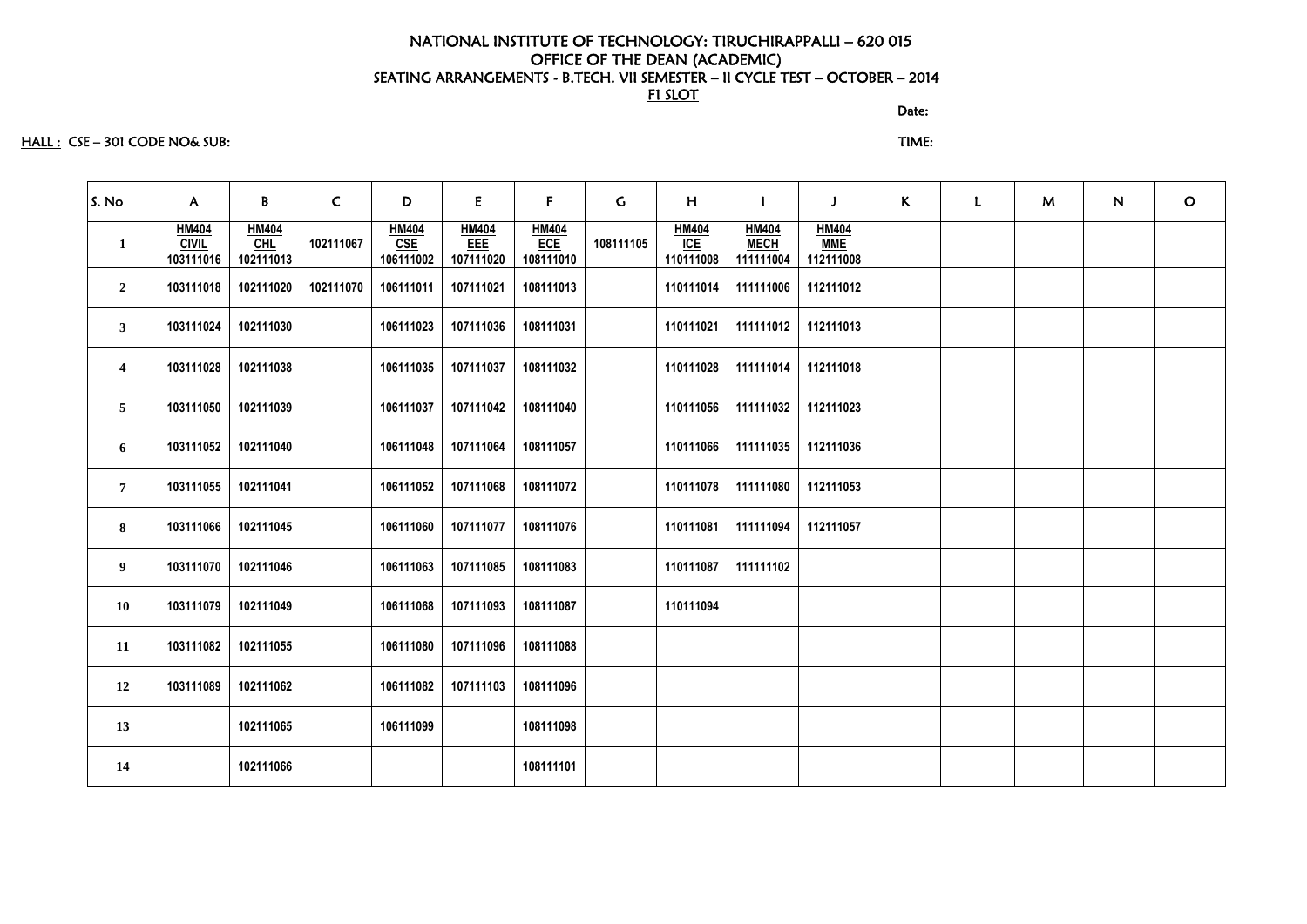#### discussion of the contract of the contract of the Date:

#### HALL : CSE – 301 CODE NO& SUB: TIME:

| S. No                   | $\mathsf{A}$                              | B                                  | $\mathsf{C}$ | D                                | E                                | $\mathsf{F}$                                   | $\mathsf C$ | H                                | $\mathbf{I}$                             | $\mathbf{J}$                            | K | $\mathbf{L}$ | M | N | $\circ$ |
|-------------------------|-------------------------------------------|------------------------------------|--------------|----------------------------------|----------------------------------|------------------------------------------------|-------------|----------------------------------|------------------------------------------|-----------------------------------------|---|--------------|---|---|---------|
| $\mathbf{1}$            | <b>HM404</b><br><b>CIVIL</b><br>103111016 | <b>HM404</b><br>$CHL$<br>102111013 | 102111067    | <b>HM404</b><br>CSE<br>106111002 | <b>HM404</b><br>EEE<br>107111020 | $\frac{\text{HM404}}{\text{ECE}}$<br>108111010 | 108111105   | <b>HM404</b><br>ICE<br>110111008 | <b>HM404</b><br><b>MECH</b><br>111111004 | <b>HM404</b><br><b>MME</b><br>112111008 |   |              |   |   |         |
| $\boldsymbol{2}$        | 103111018                                 | 102111020                          | 102111070    | 106111011                        | 107111021                        | 108111013                                      |             | 110111014                        | 111111006                                | 112111012                               |   |              |   |   |         |
| $\mathbf{3}$            | 103111024                                 | 102111030                          |              | 106111023                        | 107111036                        | 108111031                                      |             | 110111021                        | 111111012                                | 112111013                               |   |              |   |   |         |
| $\overline{\mathbf{4}}$ | 103111028                                 | 102111038                          |              | 106111035                        | 107111037                        | 108111032                                      |             | 110111028                        | 111111014                                | 112111018                               |   |              |   |   |         |
| 5                       | 103111050                                 | 102111039                          |              | 106111037                        | 107111042                        | 108111040                                      |             | 110111056                        | 111111032 112111023                      |                                         |   |              |   |   |         |
| 6                       | 103111052                                 | 102111040                          |              | 106111048                        | 107111064                        | 108111057                                      |             | 110111066                        | 111111035                                | 112111036                               |   |              |   |   |         |
| $\overline{7}$          | 103111055                                 | 102111041                          |              | 106111052                        | 107111068                        | 108111072                                      |             | 110111078                        | 111111080                                | 112111053                               |   |              |   |   |         |
| 8                       | 103111066                                 | 102111045                          |              | 106111060                        | 107111077                        | 108111076                                      |             | 110111081                        | 111111094                                | 112111057                               |   |              |   |   |         |
| 9                       | 103111070                                 | 102111046                          |              | 106111063                        | 107111085                        | 108111083                                      |             | 110111087                        | 111111102                                |                                         |   |              |   |   |         |
| <b>10</b>               | 103111079                                 | 102111049                          |              | 106111068                        | 107111093                        | 108111087                                      |             | 110111094                        |                                          |                                         |   |              |   |   |         |
| 11                      | 103111082                                 | 102111055                          |              | 106111080                        | 107111096                        | 108111088                                      |             |                                  |                                          |                                         |   |              |   |   |         |
| 12                      | 103111089                                 | 102111062                          |              | 106111082                        | 107111103                        | 108111096                                      |             |                                  |                                          |                                         |   |              |   |   |         |
| 13                      |                                           | 102111065                          |              | 106111099                        |                                  | 108111098                                      |             |                                  |                                          |                                         |   |              |   |   |         |
| 14                      |                                           | 102111066                          |              |                                  |                                  | 108111101                                      |             |                                  |                                          |                                         |   |              |   |   |         |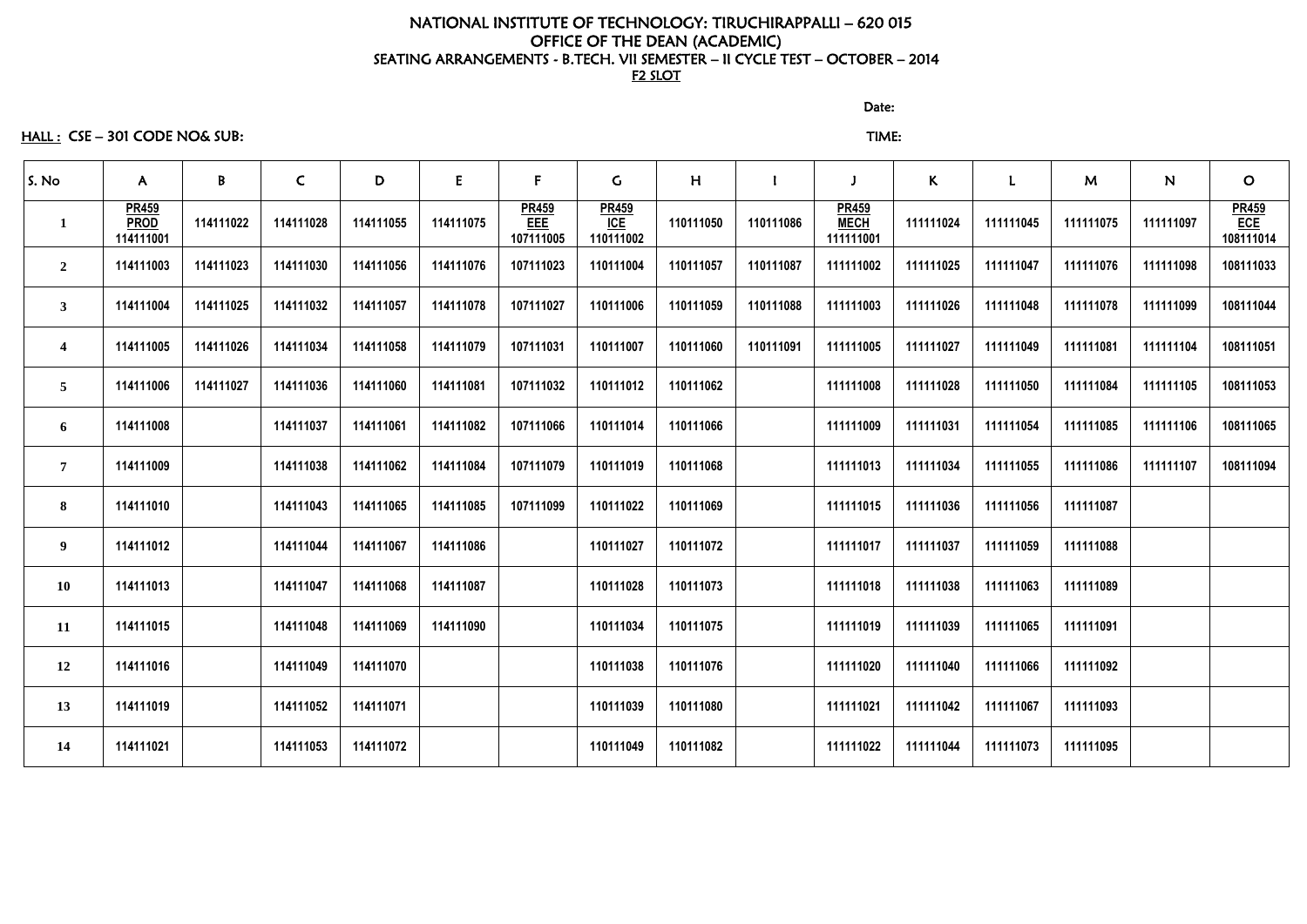discussion of the contract of the contract of the Date:

# HALL : CSE – 301 CODE NO& SUB: TIME:

| S. No                   | $\mathsf{A}$                             | $\mathbf{B}$ | $\mathsf{C}$ | D         | E         | $\mathsf{F}$                            | $\mathsf{G}$                     | H         |           |                                          | $\mathsf{K}$ | L         | M         | N         | $\mathbf{O}$                                         |
|-------------------------|------------------------------------------|--------------|--------------|-----------|-----------|-----------------------------------------|----------------------------------|-----------|-----------|------------------------------------------|--------------|-----------|-----------|-----------|------------------------------------------------------|
|                         | <b>PR459</b><br><b>PROD</b><br>114111001 | 114111022    | 114111028    | 114111055 | 114111075 | <b>PR459</b><br><b>EEE</b><br>107111005 | <b>PR459</b><br>ICE<br>110111002 | 110111050 | 110111086 | <b>PR459</b><br><b>MECH</b><br>111111001 | 111111024    | 111111045 | 111111075 | 111111097 | <b>PR459</b><br>$\overline{\text{ECE}}$<br>108111014 |
| $\overline{2}$          | 114111003                                | 114111023    | 114111030    | 114111056 | 114111076 | 107111023                               | 110111004                        | 110111057 | 110111087 | 111111002                                | 111111025    | 111111047 | 111111076 | 111111098 | 108111033                                            |
| 3                       | 114111004                                | 114111025    | 114111032    | 114111057 | 114111078 | 107111027                               | 110111006                        | 110111059 | 110111088 | 111111003                                | 111111026    | 111111048 | 111111078 | 111111099 | 108111044                                            |
| $\overline{\mathbf{4}}$ | 114111005                                | 114111026    | 114111034    | 114111058 | 114111079 | 107111031                               | 110111007                        | 110111060 | 110111091 | 111111005                                | 111111027    | 111111049 | 111111081 | 111111104 | 108111051                                            |
| $\overline{5}$          | 114111006                                | 114111027    | 114111036    | 114111060 | 114111081 | 107111032                               | 110111012                        | 110111062 |           | 111111008                                | 111111028    | 111111050 | 111111084 | 111111105 | 108111053                                            |
| 6                       | 114111008                                |              | 114111037    | 114111061 | 114111082 | 107111066                               | 110111014                        | 110111066 |           | 111111009                                | 111111031    | 111111054 | 111111085 | 111111106 | 108111065                                            |
| $\overline{7}$          | 114111009                                |              | 114111038    | 114111062 | 114111084 | 107111079                               | 110111019                        | 110111068 |           | 111111013                                | 111111034    | 111111055 | 111111086 | 111111107 | 108111094                                            |
| 8                       | 114111010                                |              | 114111043    | 114111065 | 114111085 | 107111099                               | 110111022                        | 110111069 |           | 111111015                                | 111111036    | 111111056 | 111111087 |           |                                                      |
| 9                       | 114111012                                |              | 114111044    | 114111067 | 114111086 |                                         | 110111027                        | 110111072 |           | 111111017                                | 111111037    | 111111059 | 111111088 |           |                                                      |
| <b>10</b>               | 114111013                                |              | 114111047    | 114111068 | 114111087 |                                         | 110111028                        | 110111073 |           | 111111018                                | 111111038    | 111111063 | 111111089 |           |                                                      |
| 11                      | 114111015                                |              | 114111048    | 114111069 | 114111090 |                                         | 110111034                        | 110111075 |           | 111111019                                | 111111039    | 111111065 | 111111091 |           |                                                      |
| 12                      | 114111016                                |              | 114111049    | 114111070 |           |                                         | 110111038                        | 110111076 |           | 111111020                                | 111111040    | 111111066 | 111111092 |           |                                                      |
| 13                      | 114111019                                |              | 114111052    | 114111071 |           |                                         | 110111039                        | 110111080 |           | 111111021                                | 111111042    | 111111067 | 111111093 |           |                                                      |
| 14                      | 114111021                                |              | 114111053    | 114111072 |           |                                         | 110111049                        | 110111082 |           | 111111022                                | 111111044    | 111111073 | 111111095 |           |                                                      |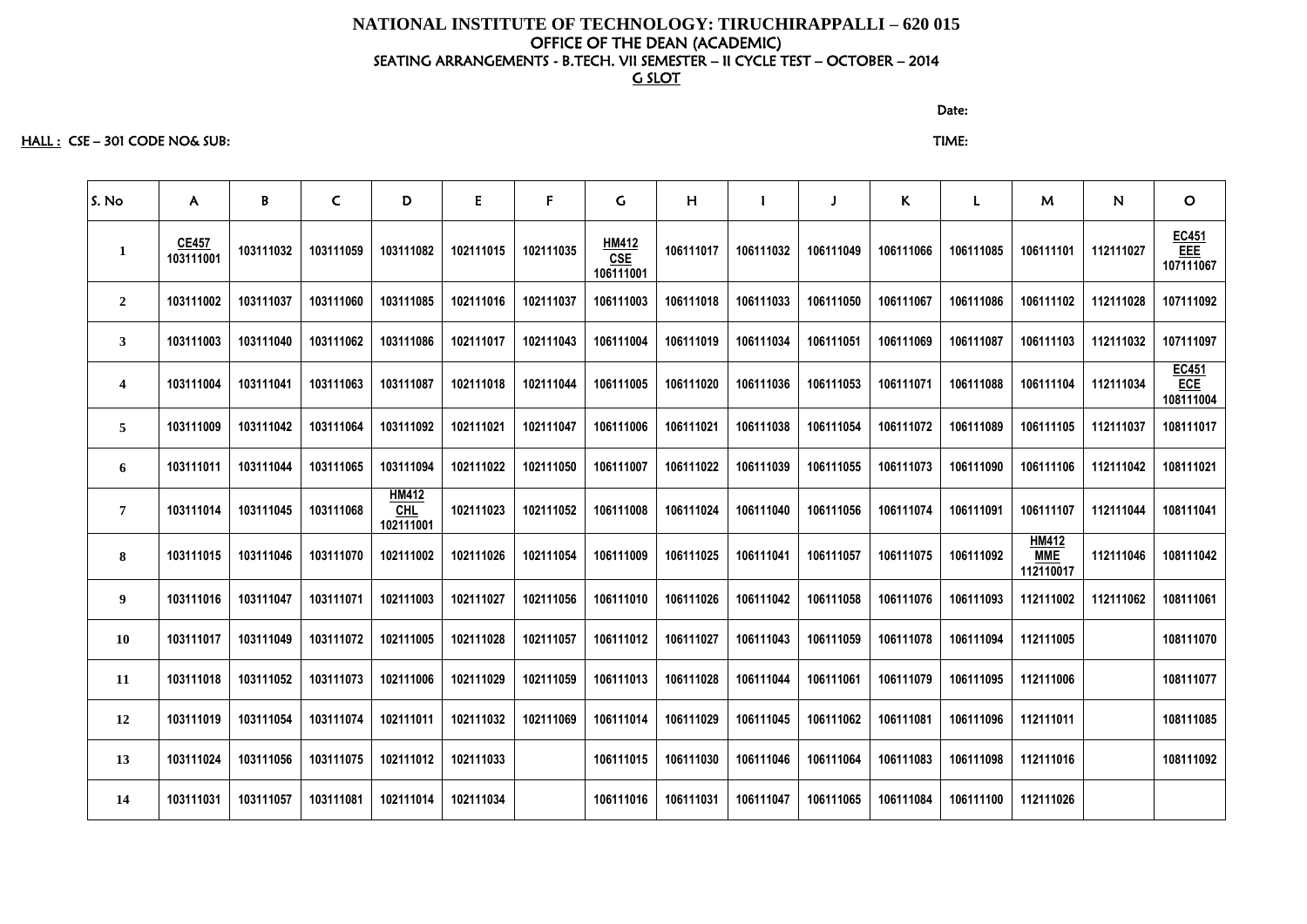HALL : CSE – 301 CODE NO& SUB: TIME:

| S. No                   | $\mathsf{A}$              | B         | $\mathsf{C}$ | D                                | E         | F         | $\mathsf C$                             | H         |           |           | $\mathsf{K}$ | L         | M                                       | N         | $\mathbf O$               |
|-------------------------|---------------------------|-----------|--------------|----------------------------------|-----------|-----------|-----------------------------------------|-----------|-----------|-----------|--------------|-----------|-----------------------------------------|-----------|---------------------------|
| $\mathbf{I}$            | <b>CE457</b><br>103111001 | 103111032 | 103111059    | 103111082                        | 102111015 | 102111035 | <b>HM412</b><br><b>CSE</b><br>106111001 | 106111017 | 106111032 | 106111049 | 106111066    | 106111085 | 106111101                               | 112111027 | EC451<br>EEE<br>107111067 |
| $\overline{2}$          | 103111002                 | 103111037 | 103111060    | 103111085                        | 102111016 | 102111037 | 106111003                               | 106111018 | 106111033 | 106111050 | 106111067    | 106111086 | 106111102                               | 112111028 | 107111092                 |
| $\mathbf{3}$            | 103111003                 | 103111040 | 103111062    | 103111086                        | 102111017 | 102111043 | 106111004                               | 106111019 | 106111034 | 106111051 | 106111069    | 106111087 | 106111103                               | 112111032 | 107111097                 |
| $\overline{\mathbf{4}}$ | 103111004                 | 103111041 | 103111063    | 103111087                        | 102111018 | 102111044 | 106111005                               | 106111020 | 106111036 | 106111053 | 106111071    | 106111088 | 106111104                               | 112111034 | EC451<br>ECE<br>108111004 |
| $5\overline{)}$         | 103111009                 | 103111042 | 103111064    | 103111092                        | 102111021 | 102111047 | 106111006                               | 106111021 | 106111038 | 106111054 | 106111072    | 106111089 | 106111105                               | 112111037 | 108111017                 |
| 6                       | 103111011                 | 103111044 | 103111065    | 103111094                        | 102111022 | 102111050 | 106111007                               | 106111022 | 106111039 | 106111055 | 106111073    | 106111090 | 106111106                               | 112111042 | 108111021                 |
| $\overline{7}$          | 103111014                 | 103111045 | 103111068    | <b>HM412</b><br>CHL<br>102111001 | 102111023 | 102111052 | 106111008                               | 106111024 | 106111040 | 106111056 | 106111074    | 106111091 | 106111107                               | 112111044 | 108111041                 |
| 8                       | 103111015                 | 103111046 | 103111070    | 102111002                        | 102111026 | 102111054 | 106111009                               | 106111025 | 106111041 | 106111057 | 106111075    | 106111092 | <b>HM412</b><br><b>MME</b><br>112110017 | 112111046 | 108111042                 |
| 9                       | 103111016                 | 103111047 | 103111071    | 102111003                        | 102111027 | 102111056 | 106111010                               | 106111026 | 106111042 | 106111058 | 106111076    | 106111093 | 112111002                               | 112111062 | 108111061                 |
| <b>10</b>               | 103111017                 | 103111049 | 103111072    | 102111005                        | 102111028 | 102111057 | 106111012                               | 106111027 | 106111043 | 106111059 | 106111078    | 106111094 | 112111005                               |           | 108111070                 |
| 11                      | 103111018                 | 103111052 | 103111073    | 102111006                        | 102111029 | 102111059 | 106111013                               | 106111028 | 106111044 | 106111061 | 106111079    | 106111095 | 112111006                               |           | 108111077                 |
| 12                      | 103111019                 | 103111054 | 103111074    | 102111011                        | 102111032 | 102111069 | 106111014                               | 106111029 | 106111045 | 106111062 | 106111081    | 106111096 | 112111011                               |           | 108111085                 |
| 13                      | 103111024                 | 103111056 | 103111075    | 102111012                        | 102111033 |           | 106111015                               | 106111030 | 106111046 | 106111064 | 106111083    | 106111098 | 112111016                               |           | 108111092                 |
| 14                      | 103111031                 | 103111057 | 103111081    | 102111014                        | 102111034 |           | 106111016                               | 106111031 | 106111047 | 106111065 | 106111084    | 106111100 | 112111026                               |           |                           |